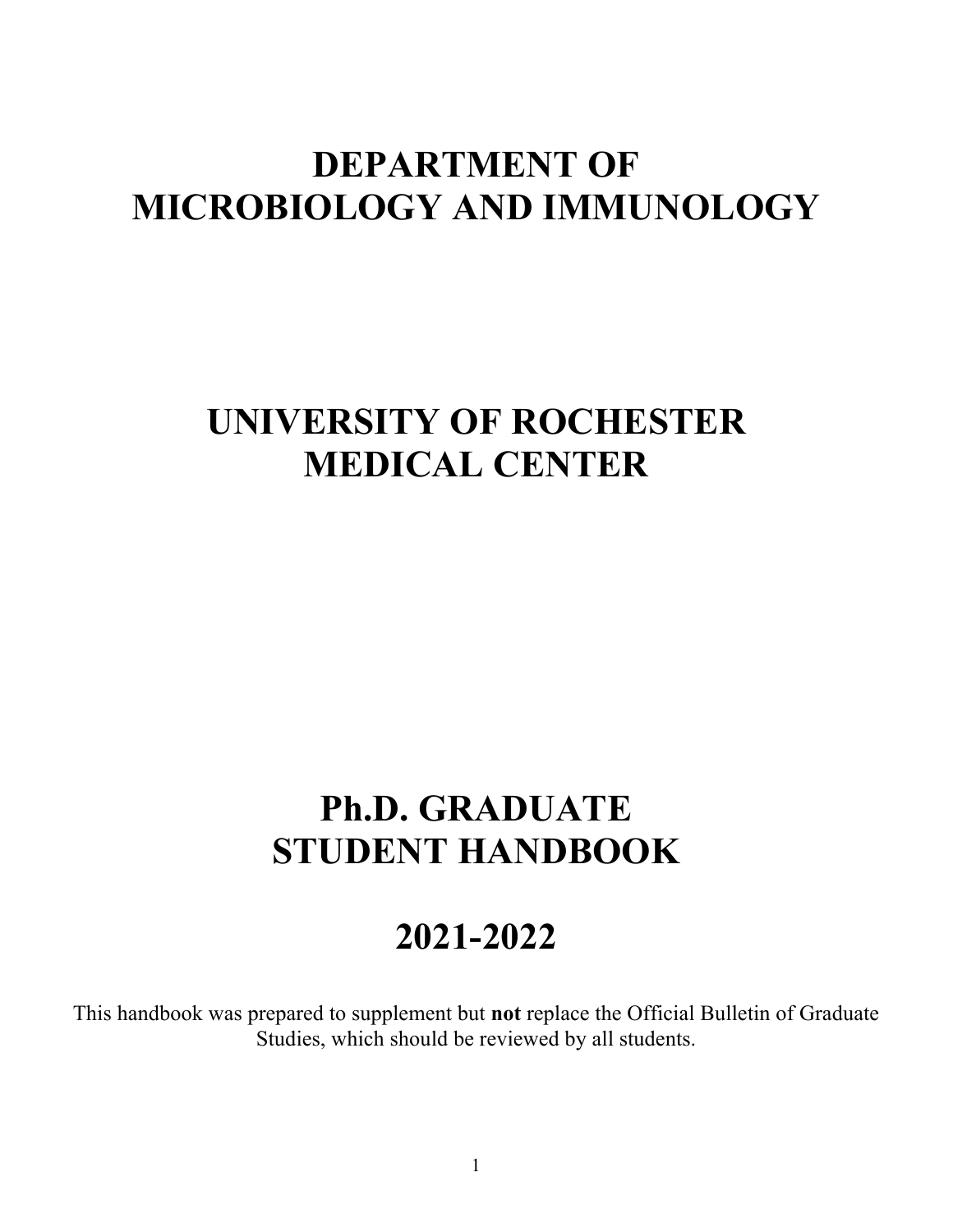# **DEPARTMENT OF MICROBIOLOGY AND IMMUNOLOGY**

# **UNIVERSITY OF ROCHESTER MEDICAL CENTER**

# **Ph.D. GRADUATE STUDENT HANDBOOK**

# **2021-2022**

This handbook was prepared to supplement but **not** replace the Official Bulletin of Graduate Studies, which should be reviewed by all students.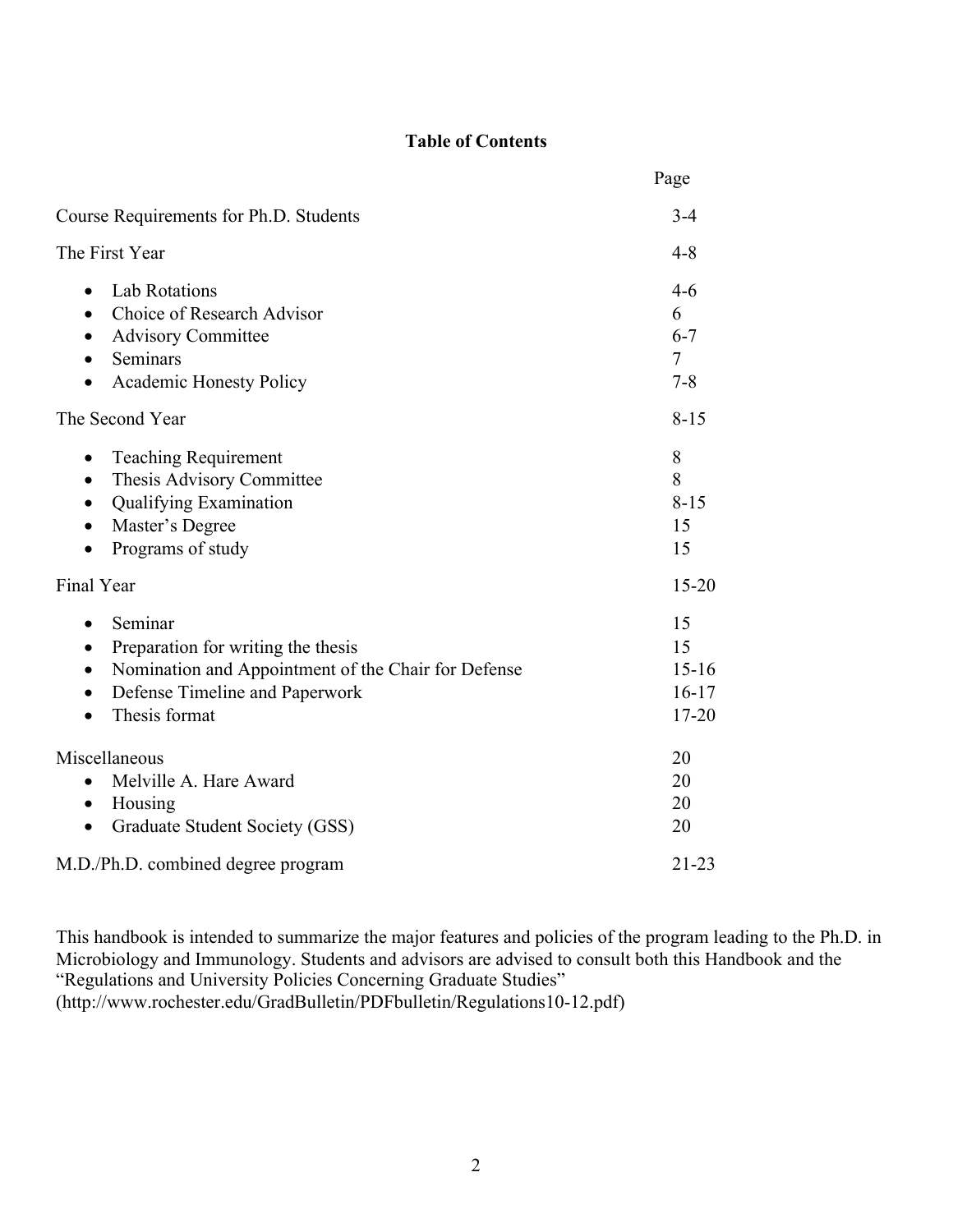# **Table of Contents**

|                                                                                                                                                                      | Page                                          |
|----------------------------------------------------------------------------------------------------------------------------------------------------------------------|-----------------------------------------------|
| Course Requirements for Ph.D. Students                                                                                                                               | $3-4$                                         |
| The First Year                                                                                                                                                       | $4 - 8$                                       |
| <b>Lab Rotations</b><br>$\bullet$<br>Choice of Research Advisor<br>$\bullet$<br><b>Advisory Committee</b><br>Seminars<br>Academic Honesty Policy                     | $4-6$<br>6<br>$6 - 7$<br>$\tau$<br>$7 - 8$    |
| The Second Year                                                                                                                                                      | $8 - 15$                                      |
| <b>Teaching Requirement</b><br>Thesis Advisory Committee<br>$\bullet$<br><b>Qualifying Examination</b><br>Master's Degree<br>Programs of study<br>$\bullet$          | 8<br>8<br>$8 - 15$<br>15<br>15                |
| Final Year                                                                                                                                                           | $15 - 20$                                     |
| Seminar<br>Preparation for writing the thesis<br>$\bullet$<br>Nomination and Appointment of the Chair for Defense<br>Defense Timeline and Paperwork<br>Thesis format | 15<br>15<br>$15 - 16$<br>$16-17$<br>$17 - 20$ |
| Miscellaneous<br>Melville A. Hare Award<br>Housing<br>$\bullet$<br>Graduate Student Society (GSS)<br>$\bullet$                                                       | 20<br>20<br>20<br>20                          |
| M.D./Ph.D. combined degree program                                                                                                                                   | $21 - 23$                                     |

This handbook is intended to summarize the major features and policies of the program leading to the Ph.D. in Microbiology and Immunology. Students and advisors are advised to consult both this Handbook and the "Regulations and University Policies Concerning Graduate Studies" (http://www.rochester.edu/GradBulletin/PDFbulletin/Regulations10-12.pdf)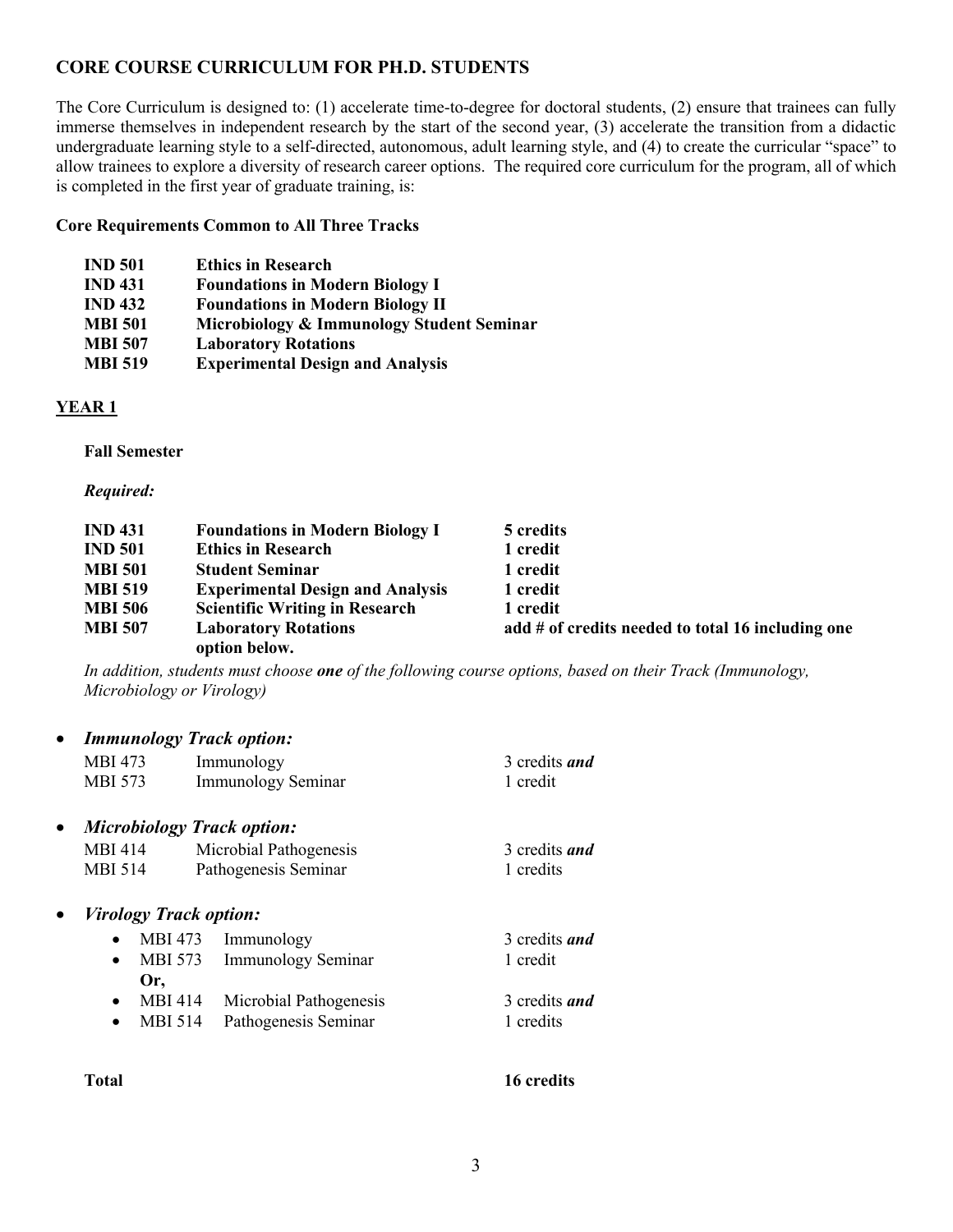# **CORE COURSE CURRICULUM FOR PH.D. STUDENTS**

The Core Curriculum is designed to: (1) accelerate time-to-degree for doctoral students, (2) ensure that trainees can fully immerse themselves in independent research by the start of the second year, (3) accelerate the transition from a didactic undergraduate learning style to a self-directed, autonomous, adult learning style, and (4) to create the curricular "space" to allow trainees to explore a diversity of research career options. The required core curriculum for the program, all of which is completed in the first year of graduate training, is:

#### **Core Requirements Common to All Three Tracks**

| <b>IND 501</b> | <b>Ethics in Research</b>                 |
|----------------|-------------------------------------------|
| <b>IND 431</b> | <b>Foundations in Modern Biology I</b>    |
| <b>IND 432</b> | <b>Foundations in Modern Biology II</b>   |
| <b>MBI 501</b> | Microbiology & Immunology Student Seminar |
| <b>MBI 507</b> | <b>Laboratory Rotations</b>               |
| <b>MBI 519</b> | <b>Experimental Design and Analysis</b>   |
|                |                                           |

#### **YEAR 1**

#### **Fall Semester**

#### *Required:*

| <b>IND 431</b> | <b>Foundations in Modern Biology I</b>  | 5 credits                                         |
|----------------|-----------------------------------------|---------------------------------------------------|
| <b>IND 501</b> | <b>Ethics in Research</b>               | 1 credit                                          |
| <b>MBI 501</b> | <b>Student Seminar</b>                  | 1 credit                                          |
| <b>MBI 519</b> | <b>Experimental Design and Analysis</b> | 1 credit                                          |
| <b>MBI 506</b> | <b>Scientific Writing in Research</b>   | 1 credit                                          |
| <b>MBI 507</b> | <b>Laboratory Rotations</b>             | add # of credits needed to total 16 including one |
|                | option below.                           |                                                   |

*In addition, students must choose one of the following course options, based on their Track (Immunology, Microbiology or Virology)*

| <b>Immunology Track option:</b>   |                           |                      |
|-----------------------------------|---------------------------|----------------------|
| MBI 473                           | Immunology                | 3 credits <i>and</i> |
| <b>MBI 573</b>                    | Immunology Seminar        | 1 credit             |
| <b>Microbiology Track option:</b> |                           |                      |
| <b>MBI</b> 414                    | Microbial Pathogenesis    | 3 credits <i>and</i> |
| MBI 514                           | Pathogenesis Seminar      | 1 credits            |
| <i>Virology Track option:</i>     |                           |                      |
| MBI 473                           | Immunology                | 3 credits <i>and</i> |
| MBI 573                           | <b>Immunology Seminar</b> | 1 credit             |
| Or,                               |                           |                      |
| <b>MBI 414</b><br>$\bullet$       | Microbial Pathogenesis    | 3 credits <i>and</i> |
| MBI 514<br>$\bullet$              | Pathogenesis Seminar      | 1 credits            |
|                                   |                           |                      |
|                                   |                           |                      |

#### **Total 16 credits**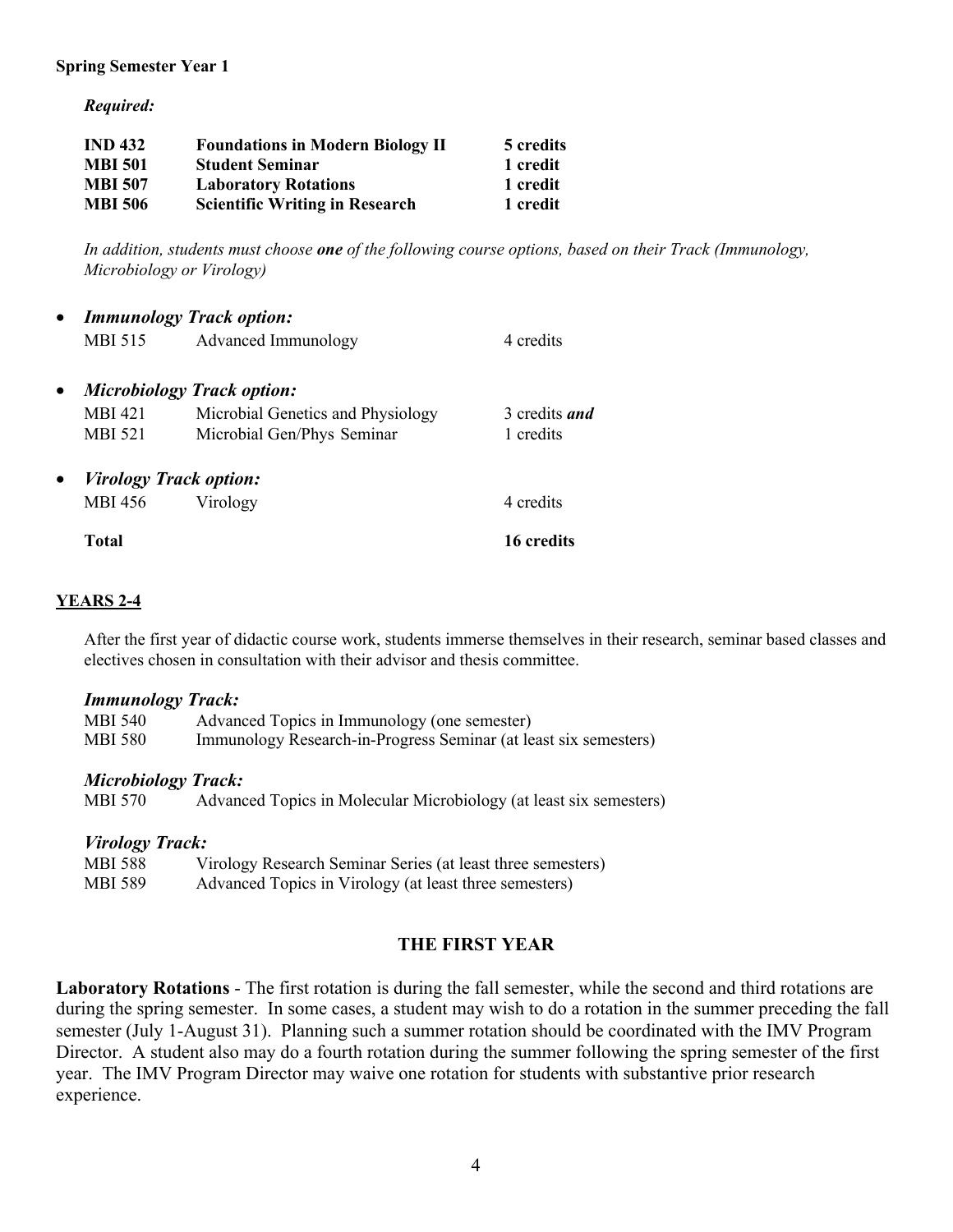#### **Spring Semester Year 1**

*Required:*

| <b>IND 432</b> | <b>Foundations in Modern Biology II</b> | 5 credits |
|----------------|-----------------------------------------|-----------|
| <b>MBI 501</b> | <b>Student Seminar</b>                  | 1 credit  |
| <b>MBI 507</b> | <b>Laboratory Rotations</b>             | 1 credit  |
| <b>MBI 506</b> | <b>Scientific Writing in Research</b>   | 1 credit  |

*In addition, students must choose one of the following course options, based on their Track (Immunology, Microbiology or Virology)*

|                | <b>Immunology Track option:</b>   |               |
|----------------|-----------------------------------|---------------|
| MBI 515        | Advanced Immunology               | 4 credits     |
|                | <b>Microbiology Track option:</b> |               |
| <b>MBI</b> 421 | Microbial Genetics and Physiology | 3 credits and |
| <b>MBI 521</b> | Microbial Gen/Phys Seminar        | 1 credits     |
|                | <i>Virology Track option:</i>     |               |
| MBI 456        | Virology                          | 4 credits     |
| Total          |                                   | 16 credits    |

#### **YEARS 2-4**

After the first year of didactic course work, students immerse themselves in their research, seminar based classes and electives chosen in consultation with their advisor and thesis committee.

#### *Immunology Track:*

| MBI 540        | Advanced Topics in Immunology (one semester)                     |
|----------------|------------------------------------------------------------------|
| <b>MBI 580</b> | Immunology Research-in-Progress Seminar (at least six semesters) |
|                |                                                                  |

#### *Microbiology Track:*

| <b>MBI 570</b> |  | Advanced Topics in Molecular Microbiology (at least six semesters) |  |
|----------------|--|--------------------------------------------------------------------|--|
|                |  |                                                                    |  |

#### *Virology Track:*

| MBI 588        | Virology Research Seminar Series (at least three semesters) |
|----------------|-------------------------------------------------------------|
| <b>MBI 589</b> | Advanced Topics in Virology (at least three semesters)      |

#### **THE FIRST YEAR**

**Laboratory Rotations** - The first rotation is during the fall semester, while the second and third rotations are during the spring semester. In some cases, a student may wish to do a rotation in the summer preceding the fall semester (July 1-August 31). Planning such a summer rotation should be coordinated with the IMV Program Director. A student also may do a fourth rotation during the summer following the spring semester of the first year. The IMV Program Director may waive one rotation for students with substantive prior research experience.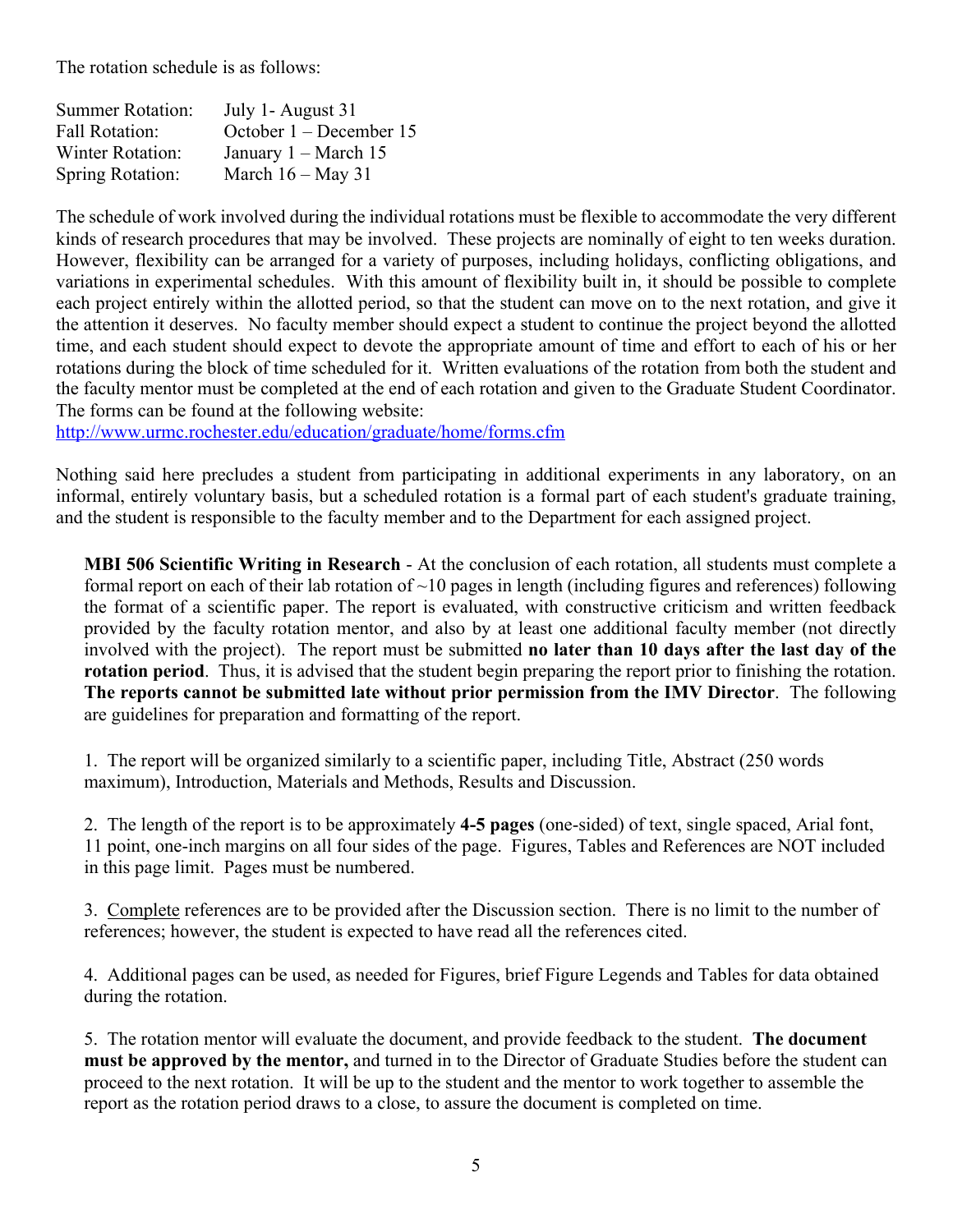The rotation schedule is as follows:

| <b>Summer Rotation:</b> | July 1- August 31       |
|-------------------------|-------------------------|
| <b>Fall Rotation:</b>   | October 1 – December 15 |
| <b>Winter Rotation:</b> | January $1 - March 15$  |
| <b>Spring Rotation:</b> | March $16 -$ May 31     |

The schedule of work involved during the individual rotations must be flexible to accommodate the very different kinds of research procedures that may be involved. These projects are nominally of eight to ten weeks duration. However, flexibility can be arranged for a variety of purposes, including holidays, conflicting obligations, and variations in experimental schedules. With this amount of flexibility built in, it should be possible to complete each project entirely within the allotted period, so that the student can move on to the next rotation, and give it the attention it deserves. No faculty member should expect a student to continue the project beyond the allotted time, and each student should expect to devote the appropriate amount of time and effort to each of his or her rotations during the block of time scheduled for it. Written evaluations of the rotation from both the student and the faculty mentor must be completed at the end of each rotation and given to the Graduate Student Coordinator. The forms can be found at the following website:

http://www.urmc.rochester.edu/education/graduate/home/forms.cfm

Nothing said here precludes a student from participating in additional experiments in any laboratory, on an informal, entirely voluntary basis, but a scheduled rotation is a formal part of each student's graduate training, and the student is responsible to the faculty member and to the Department for each assigned project.

**MBI 506 Scientific Writing in Research** - At the conclusion of each rotation, all students must complete a formal report on each of their lab rotation of  $\sim$ 10 pages in length (including figures and references) following the format of a scientific paper. The report is evaluated, with constructive criticism and written feedback provided by the faculty rotation mentor, and also by at least one additional faculty member (not directly involved with the project).The report must be submitted **no later than 10 days after the last day of the rotation period**. Thus, it is advised that the student begin preparing the report prior to finishing the rotation. **The reports cannot be submitted late without prior permission from the IMV Director**. The following are guidelines for preparation and formatting of the report.

1. The report will be organized similarly to a scientific paper, including Title, Abstract (250 words maximum), Introduction, Materials and Methods, Results and Discussion.

2. The length of the report is to be approximately **4-5 pages** (one-sided) of text, single spaced, Arial font, 11 point, one-inch margins on all four sides of the page. Figures, Tables and References are NOT included in this page limit. Pages must be numbered.

3. Complete references are to be provided after the Discussion section. There is no limit to the number of references; however, the student is expected to have read all the references cited.

4. Additional pages can be used, as needed for Figures, brief Figure Legends and Tables for data obtained during the rotation.

5. The rotation mentor will evaluate the document, and provide feedback to the student. **The document must be approved by the mentor,** and turned in to the Director of Graduate Studies before the student can proceed to the next rotation. It will be up to the student and the mentor to work together to assemble the report as the rotation period draws to a close, to assure the document is completed on time.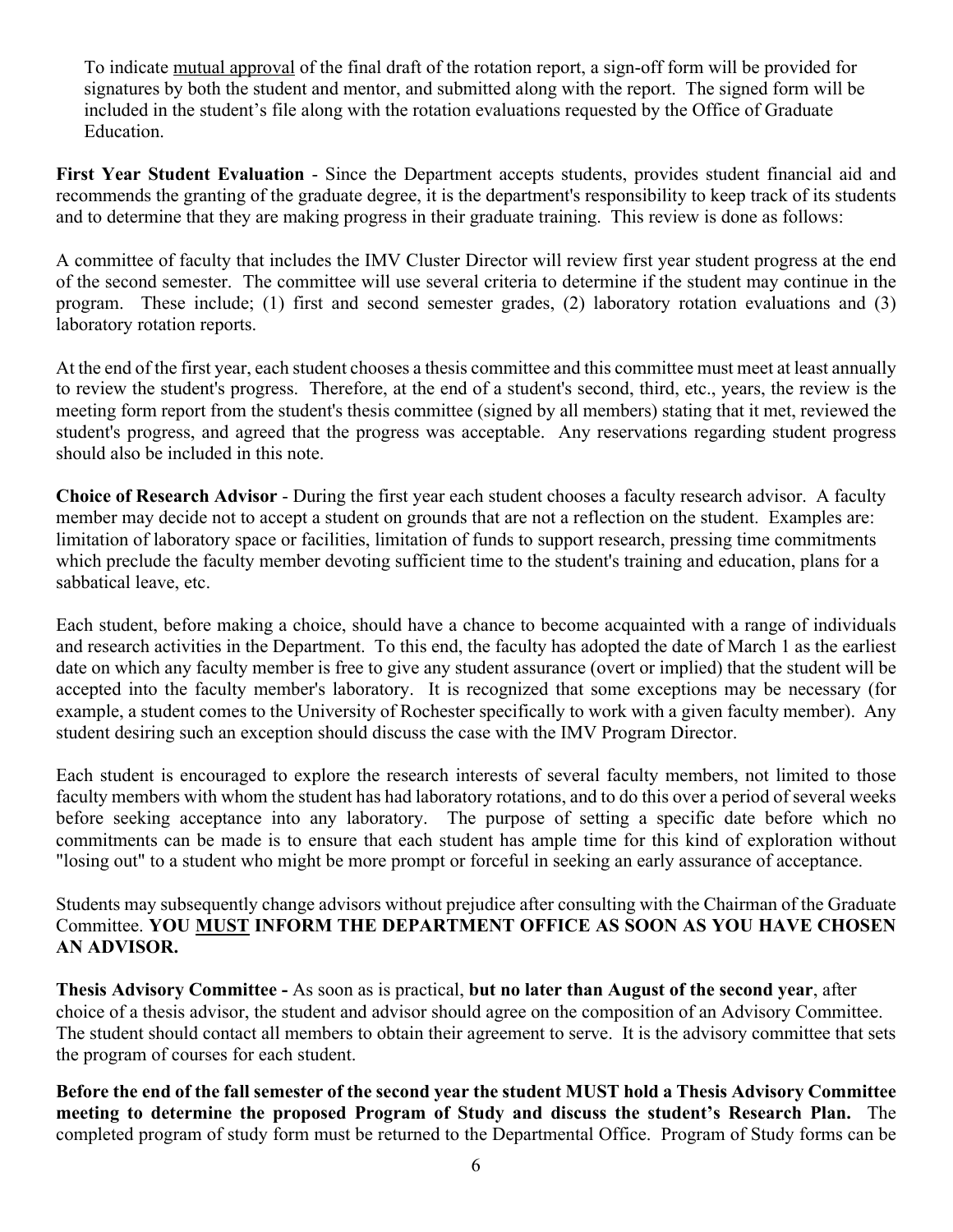To indicate mutual approval of the final draft of the rotation report, a sign-off form will be provided for signatures by both the student and mentor, and submitted along with the report. The signed form will be included in the student's file along with the rotation evaluations requested by the Office of Graduate Education.

**First Year Student Evaluation** - Since the Department accepts students, provides student financial aid and recommends the granting of the graduate degree, it is the department's responsibility to keep track of its students and to determine that they are making progress in their graduate training. This review is done as follows:

A committee of faculty that includes the IMV Cluster Director will review first year student progress at the end of the second semester. The committee will use several criteria to determine if the student may continue in the program. These include; (1) first and second semester grades, (2) laboratory rotation evaluations and (3) laboratory rotation reports.

At the end of the first year, each student chooses a thesis committee and this committee must meet at least annually to review the student's progress. Therefore, at the end of a student's second, third, etc., years, the review is the meeting form report from the student's thesis committee (signed by all members) stating that it met, reviewed the student's progress, and agreed that the progress was acceptable. Any reservations regarding student progress should also be included in this note.

**Choice of Research Advisor** - During the first year each student chooses a faculty research advisor. A faculty member may decide not to accept a student on grounds that are not a reflection on the student. Examples are: limitation of laboratory space or facilities, limitation of funds to support research, pressing time commitments which preclude the faculty member devoting sufficient time to the student's training and education, plans for a sabbatical leave, etc.

Each student, before making a choice, should have a chance to become acquainted with a range of individuals and research activities in the Department. To this end, the faculty has adopted the date of March 1 as the earliest date on which any faculty member is free to give any student assurance (overt or implied) that the student will be accepted into the faculty member's laboratory. It is recognized that some exceptions may be necessary (for example, a student comes to the University of Rochester specifically to work with a given faculty member). Any student desiring such an exception should discuss the case with the IMV Program Director.

Each student is encouraged to explore the research interests of several faculty members, not limited to those faculty members with whom the student has had laboratory rotations, and to do this over a period of several weeks before seeking acceptance into any laboratory. The purpose of setting a specific date before which no commitments can be made is to ensure that each student has ample time for this kind of exploration without "losing out" to a student who might be more prompt or forceful in seeking an early assurance of acceptance.

Students may subsequently change advisors without prejudice after consulting with the Chairman of the Graduate Committee. **YOU MUST INFORM THE DEPARTMENT OFFICE AS SOON AS YOU HAVE CHOSEN AN ADVISOR.**

**Thesis Advisory Committee -** As soon as is practical, **but no later than August of the second year**, after choice of a thesis advisor, the student and advisor should agree on the composition of an Advisory Committee. The student should contact all members to obtain their agreement to serve. It is the advisory committee that sets the program of courses for each student.

**Before the end of the fall semester of the second year the student MUST hold a Thesis Advisory Committee meeting to determine the proposed Program of Study and discuss the student's Research Plan.** The completed program of study form must be returned to the Departmental Office. Program of Study forms can be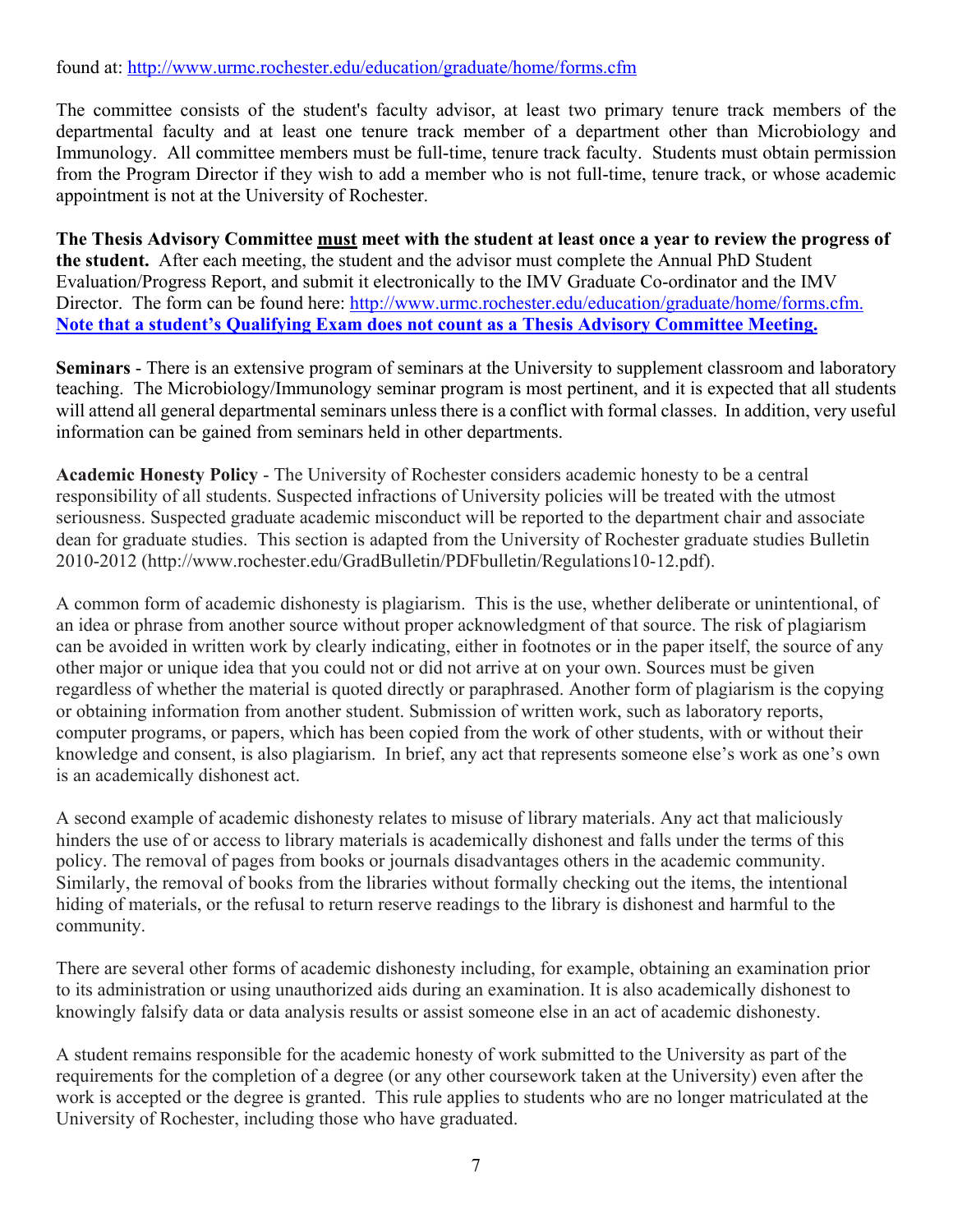# found at: http://www.urmc.rochester.edu/education/graduate/home/forms.cfm

The committee consists of the student's faculty advisor, at least two primary tenure track members of the departmental faculty and at least one tenure track member of a department other than Microbiology and Immunology. All committee members must be full-time, tenure track faculty. Students must obtain permission from the Program Director if they wish to add a member who is not full-time, tenure track, or whose academic appointment is not at the University of Rochester.

**The Thesis Advisory Committee must meet with the student at least once a year to review the progress of the student.** After each meeting, the student and the advisor must complete the Annual PhD Student Evaluation/Progress Report, and submit it electronically to the IMV Graduate Co-ordinator and the IMV Director. The form can be found here: http://www.urmc.rochester.edu/education/graduate/home/forms.cfm. **Note that a student's Qualifying Exam does not count as a Thesis Advisory Committee Meeting.**

**Seminars** - There is an extensive program of seminars at the University to supplement classroom and laboratory teaching. The Microbiology/Immunology seminar program is most pertinent, and it is expected that all students will attend all general departmental seminars unless there is a conflict with formal classes. In addition, very useful information can be gained from seminars held in other departments.

**Academic Honesty Policy** - The University of Rochester considers academic honesty to be a central responsibility of all students. Suspected infractions of University policies will be treated with the utmost seriousness. Suspected graduate academic misconduct will be reported to the department chair and associate dean for graduate studies. This section is adapted from the University of Rochester graduate studies Bulletin 2010-2012 (http://www.rochester.edu/GradBulletin/PDFbulletin/Regulations10-12.pdf).

A common form of academic dishonesty is plagiarism. This is the use, whether deliberate or unintentional, of an idea or phrase from another source without proper acknowledgment of that source. The risk of plagiarism can be avoided in written work by clearly indicating, either in footnotes or in the paper itself, the source of any other major or unique idea that you could not or did not arrive at on your own. Sources must be given regardless of whether the material is quoted directly or paraphrased. Another form of plagiarism is the copying or obtaining information from another student. Submission of written work, such as laboratory reports, computer programs, or papers, which has been copied from the work of other students, with or without their knowledge and consent, is also plagiarism. In brief, any act that represents someone else's work as one's own is an academically dishonest act.

A second example of academic dishonesty relates to misuse of library materials. Any act that maliciously hinders the use of or access to library materials is academically dishonest and falls under the terms of this policy. The removal of pages from books or journals disadvantages others in the academic community. Similarly, the removal of books from the libraries without formally checking out the items, the intentional hiding of materials, or the refusal to return reserve readings to the library is dishonest and harmful to the community.

There are several other forms of academic dishonesty including, for example, obtaining an examination prior to its administration or using unauthorized aids during an examination. It is also academically dishonest to knowingly falsify data or data analysis results or assist someone else in an act of academic dishonesty.

A student remains responsible for the academic honesty of work submitted to the University as part of the requirements for the completion of a degree (or any other coursework taken at the University) even after the work is accepted or the degree is granted. This rule applies to students who are no longer matriculated at the University of Rochester, including those who have graduated.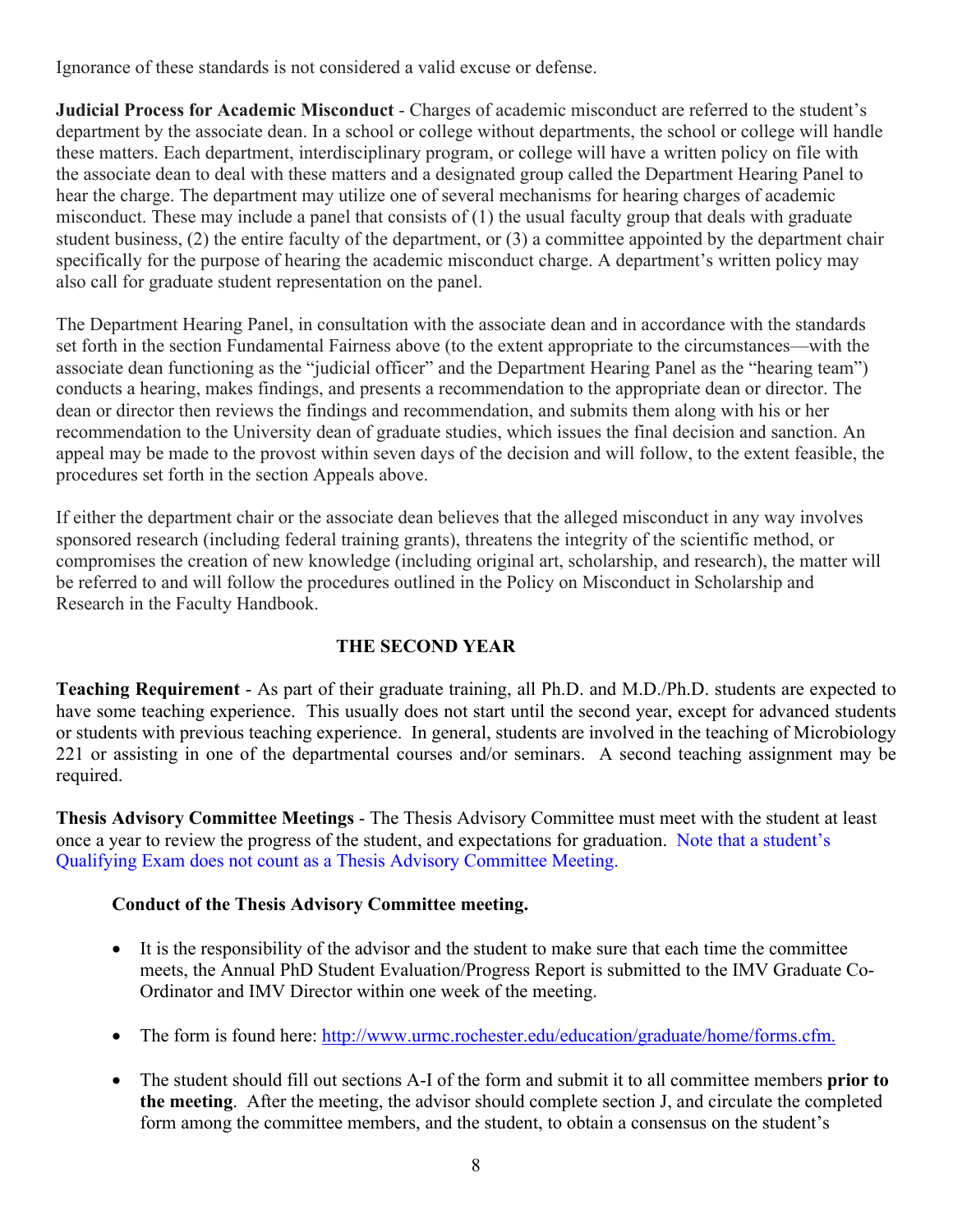Ignorance of these standards is not considered a valid excuse or defense.

**Judicial Process for Academic Misconduct** - Charges of academic misconduct are referred to the student's department by the associate dean. In a school or college without departments, the school or college will handle these matters. Each department, interdisciplinary program, or college will have a written policy on file with the associate dean to deal with these matters and a designated group called the Department Hearing Panel to hear the charge. The department may utilize one of several mechanisms for hearing charges of academic misconduct. These may include a panel that consists of (1) the usual faculty group that deals with graduate student business, (2) the entire faculty of the department, or (3) a committee appointed by the department chair specifically for the purpose of hearing the academic misconduct charge. A department's written policy may also call for graduate student representation on the panel.

The Department Hearing Panel, in consultation with the associate dean and in accordance with the standards set forth in the section Fundamental Fairness above (to the extent appropriate to the circumstances—with the associate dean functioning as the "judicial officer" and the Department Hearing Panel as the "hearing team") conducts a hearing, makes findings, and presents a recommendation to the appropriate dean or director. The dean or director then reviews the findings and recommendation, and submits them along with his or her recommendation to the University dean of graduate studies, which issues the final decision and sanction. An appeal may be made to the provost within seven days of the decision and will follow, to the extent feasible, the procedures set forth in the section Appeals above.

If either the department chair or the associate dean believes that the alleged misconduct in any way involves sponsored research (including federal training grants), threatens the integrity of the scientific method, or compromises the creation of new knowledge (including original art, scholarship, and research), the matter will be referred to and will follow the procedures outlined in the Policy on Misconduct in Scholarship and Research in the Faculty Handbook.

# **THE SECOND YEAR**

**Teaching Requirement** - As part of their graduate training, all Ph.D. and M.D./Ph.D. students are expected to have some teaching experience. This usually does not start until the second year, except for advanced students or students with previous teaching experience. In general, students are involved in the teaching of Microbiology 221 or assisting in one of the departmental courses and/or seminars. A second teaching assignment may be required.

**Thesis Advisory Committee Meetings** - The Thesis Advisory Committee must meet with the student at least once a year to review the progress of the student, and expectations for graduation. Note that a student's Qualifying Exam does not count as a Thesis Advisory Committee Meeting.

# **Conduct of the Thesis Advisory Committee meeting.**

- It is the responsibility of the advisor and the student to make sure that each time the committee meets, the Annual PhD Student Evaluation/Progress Report is submitted to the IMV Graduate Co-Ordinator and IMV Director within one week of the meeting.
- The form is found here: http://www.urmc.rochester.edu/education/graduate/home/forms.cfm.
- The student should fill out sections A-I of the form and submit it to all committee members **prior to the meeting**. After the meeting, the advisor should complete section J, and circulate the completed form among the committee members, and the student, to obtain a consensus on the student's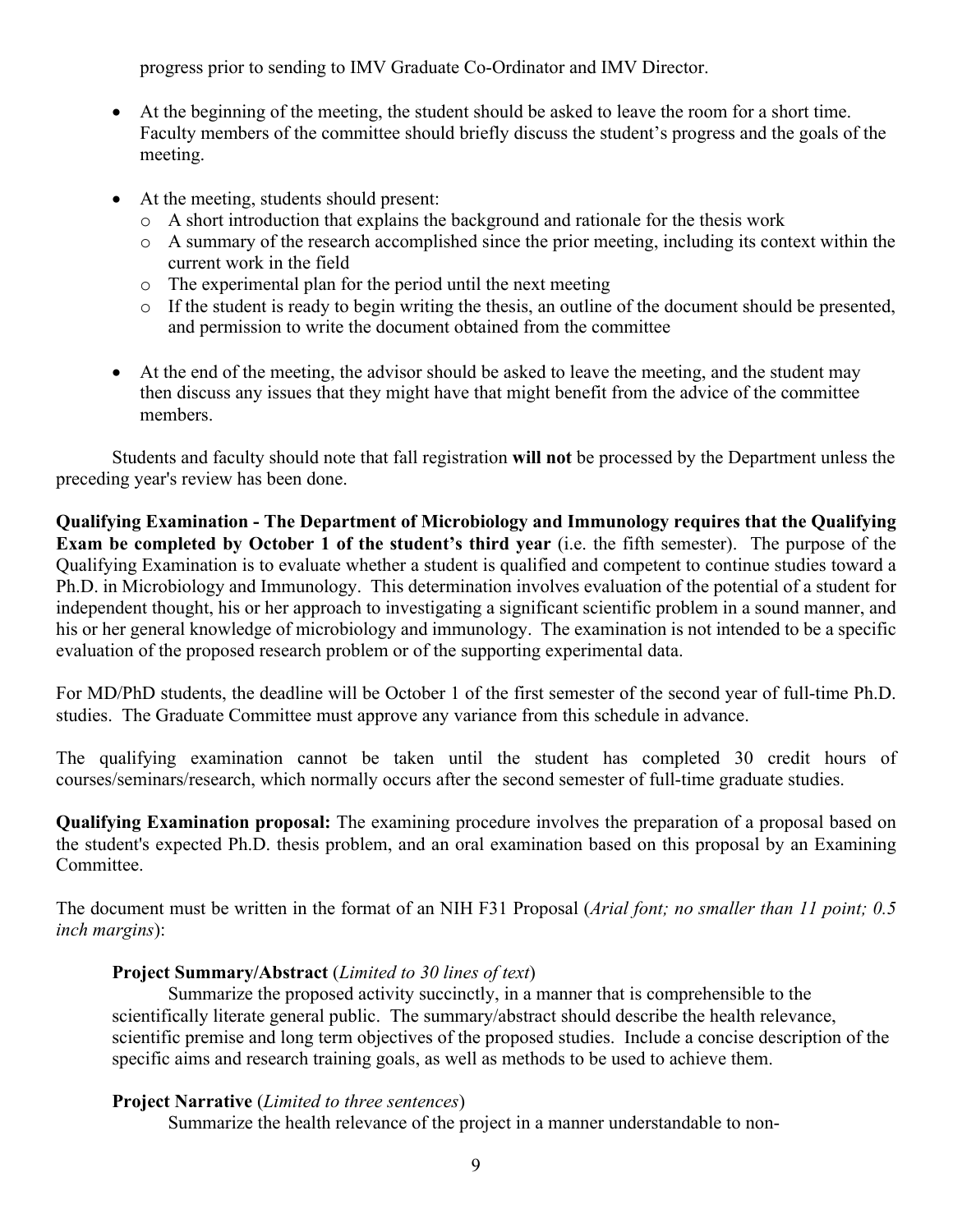progress prior to sending to IMV Graduate Co-Ordinator and IMV Director.

- At the beginning of the meeting, the student should be asked to leave the room for a short time. Faculty members of the committee should briefly discuss the student's progress and the goals of the meeting.
- At the meeting, students should present:
	- o A short introduction that explains the background and rationale for the thesis work
	- o A summary of the research accomplished since the prior meeting, including its context within the current work in the field
	- o The experimental plan for the period until the next meeting
	- o If the student is ready to begin writing the thesis, an outline of the document should be presented, and permission to write the document obtained from the committee
- At the end of the meeting, the advisor should be asked to leave the meeting, and the student may then discuss any issues that they might have that might benefit from the advice of the committee members.

Students and faculty should note that fall registration **will not** be processed by the Department unless the preceding year's review has been done.

**Qualifying Examination - The Department of Microbiology and Immunology requires that the Qualifying Exam be completed by October 1 of the student's third year** (i.e. the fifth semester). The purpose of the Qualifying Examination is to evaluate whether a student is qualified and competent to continue studies toward a Ph.D. in Microbiology and Immunology. This determination involves evaluation of the potential of a student for independent thought, his or her approach to investigating a significant scientific problem in a sound manner, and his or her general knowledge of microbiology and immunology. The examination is not intended to be a specific evaluation of the proposed research problem or of the supporting experimental data.

For MD/PhD students, the deadline will be October 1 of the first semester of the second year of full-time Ph.D. studies. The Graduate Committee must approve any variance from this schedule in advance.

The qualifying examination cannot be taken until the student has completed 30 credit hours of courses/seminars/research, which normally occurs after the second semester of full-time graduate studies.

**Qualifying Examination proposal:** The examining procedure involves the preparation of a proposal based on the student's expected Ph.D. thesis problem, and an oral examination based on this proposal by an Examining Committee.

The document must be written in the format of an NIH F31 Proposal (*Arial font; no smaller than 11 point; 0.5 inch margins*):

# **Project Summary/Abstract** (*Limited to 30 lines of text*)

Summarize the proposed activity succinctly, in a manner that is comprehensible to the scientifically literate general public. The summary/abstract should describe the health relevance, scientific premise and long term objectives of the proposed studies. Include a concise description of the specific aims and research training goals, as well as methods to be used to achieve them.

# **Project Narrative** (*Limited to three sentences*)

Summarize the health relevance of the project in a manner understandable to non-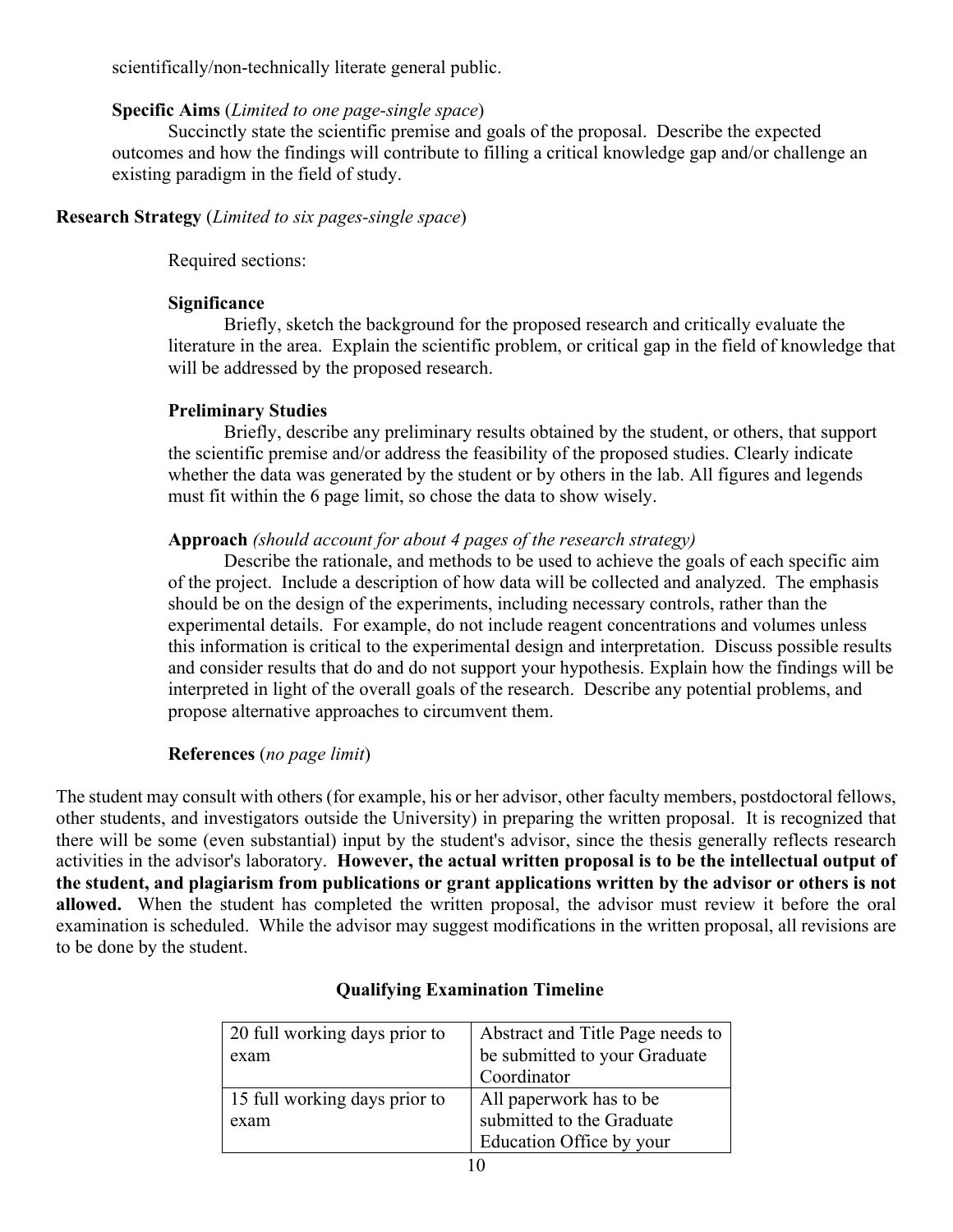scientifically/non-technically literate general public.

#### **Specific Aims** (*Limited to one page-single space*)

Succinctly state the scientific premise and goals of the proposal. Describe the expected outcomes and how the findings will contribute to filling a critical knowledge gap and/or challenge an existing paradigm in the field of study.

# **Research Strategy** (*Limited to six pages-single space*)

Required sections:

# **Significance**

Briefly, sketch the background for the proposed research and critically evaluate the literature in the area. Explain the scientific problem, or critical gap in the field of knowledge that will be addressed by the proposed research.

# **Preliminary Studies**

Briefly, describe any preliminary results obtained by the student, or others, that support the scientific premise and/or address the feasibility of the proposed studies. Clearly indicate whether the data was generated by the student or by others in the lab. All figures and legends must fit within the 6 page limit, so chose the data to show wisely.

# **Approach** *(should account for about 4 pages of the research strategy)*

Describe the rationale, and methods to be used to achieve the goals of each specific aim of the project. Include a description of how data will be collected and analyzed. The emphasis should be on the design of the experiments, including necessary controls, rather than the experimental details. For example, do not include reagent concentrations and volumes unless this information is critical to the experimental design and interpretation. Discuss possible results and consider results that do and do not support your hypothesis. Explain how the findings will be interpreted in light of the overall goals of the research. Describe any potential problems, and propose alternative approaches to circumvent them.

# **References** (*no page limit*)

The student may consult with others (for example, his or her advisor, other faculty members, postdoctoral fellows, other students, and investigators outside the University) in preparing the written proposal. It is recognized that there will be some (even substantial) input by the student's advisor, since the thesis generally reflects research activities in the advisor's laboratory. **However, the actual written proposal is to be the intellectual output of the student, and plagiarism from publications or grant applications written by the advisor or others is not allowed.** When the student has completed the written proposal, the advisor must review it before the oral examination is scheduled. While the advisor may suggest modifications in the written proposal, all revisions are to be done by the student.

| 20 full working days prior to | Abstract and Title Page needs to |
|-------------------------------|----------------------------------|
| exam                          | be submitted to your Graduate    |
|                               | Coordinator                      |
| 15 full working days prior to | All paperwork has to be          |
| exam                          | submitted to the Graduate        |
|                               | Education Office by your         |

# **Qualifying Examination Timeline**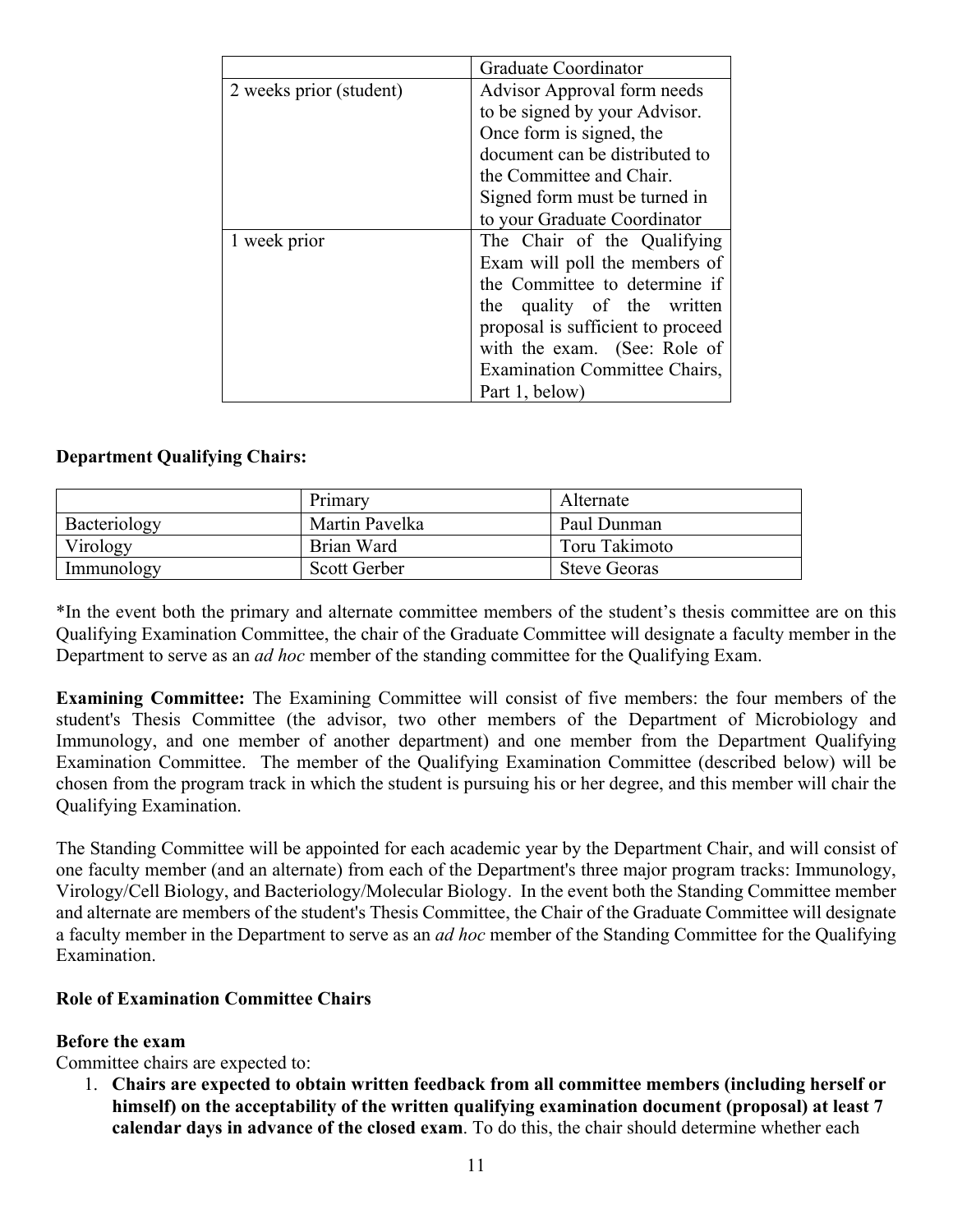|                         | Graduate Coordinator                 |
|-------------------------|--------------------------------------|
| 2 weeks prior (student) | Advisor Approval form needs          |
|                         | to be signed by your Advisor.        |
|                         | Once form is signed, the             |
|                         | document can be distributed to       |
|                         | the Committee and Chair.             |
|                         | Signed form must be turned in        |
|                         | to your Graduate Coordinator         |
| 1 week prior            | The Chair of the Qualifying          |
|                         | Exam will poll the members of        |
|                         | the Committee to determine if        |
|                         | the quality of the written           |
|                         | proposal is sufficient to proceed    |
|                         | with the exam. (See: Role of         |
|                         | <b>Examination Committee Chairs,</b> |
|                         | Part 1, below)                       |

# **Department Qualifying Chairs:**

|              | Primary        | Alternate           |
|--------------|----------------|---------------------|
| Bacteriology | Martin Pavelka | Paul Dunman         |
| Virology     | Brian Ward     | Toru Takimoto       |
| Immunology   | Scott Gerber   | <b>Steve Georas</b> |

\*In the event both the primary and alternate committee members of the student's thesis committee are on this Qualifying Examination Committee, the chair of the Graduate Committee will designate a faculty member in the Department to serve as an *ad hoc* member of the standing committee for the Qualifying Exam.

**Examining Committee:** The Examining Committee will consist of five members: the four members of the student's Thesis Committee (the advisor, two other members of the Department of Microbiology and Immunology, and one member of another department) and one member from the Department Qualifying Examination Committee. The member of the Qualifying Examination Committee (described below) will be chosen from the program track in which the student is pursuing his or her degree, and this member will chair the Qualifying Examination.

The Standing Committee will be appointed for each academic year by the Department Chair, and will consist of one faculty member (and an alternate) from each of the Department's three major program tracks: Immunology, Virology/Cell Biology, and Bacteriology/Molecular Biology. In the event both the Standing Committee member and alternate are members of the student's Thesis Committee, the Chair of the Graduate Committee will designate a faculty member in the Department to serve as an *ad hoc* member of the Standing Committee for the Qualifying Examination.

# **Role of Examination Committee Chairs**

# **Before the exam**

Committee chairs are expected to:

1. **Chairs are expected to obtain written feedback from all committee members (including herself or himself) on the acceptability of the written qualifying examination document (proposal) at least 7 calendar days in advance of the closed exam**. To do this, the chair should determine whether each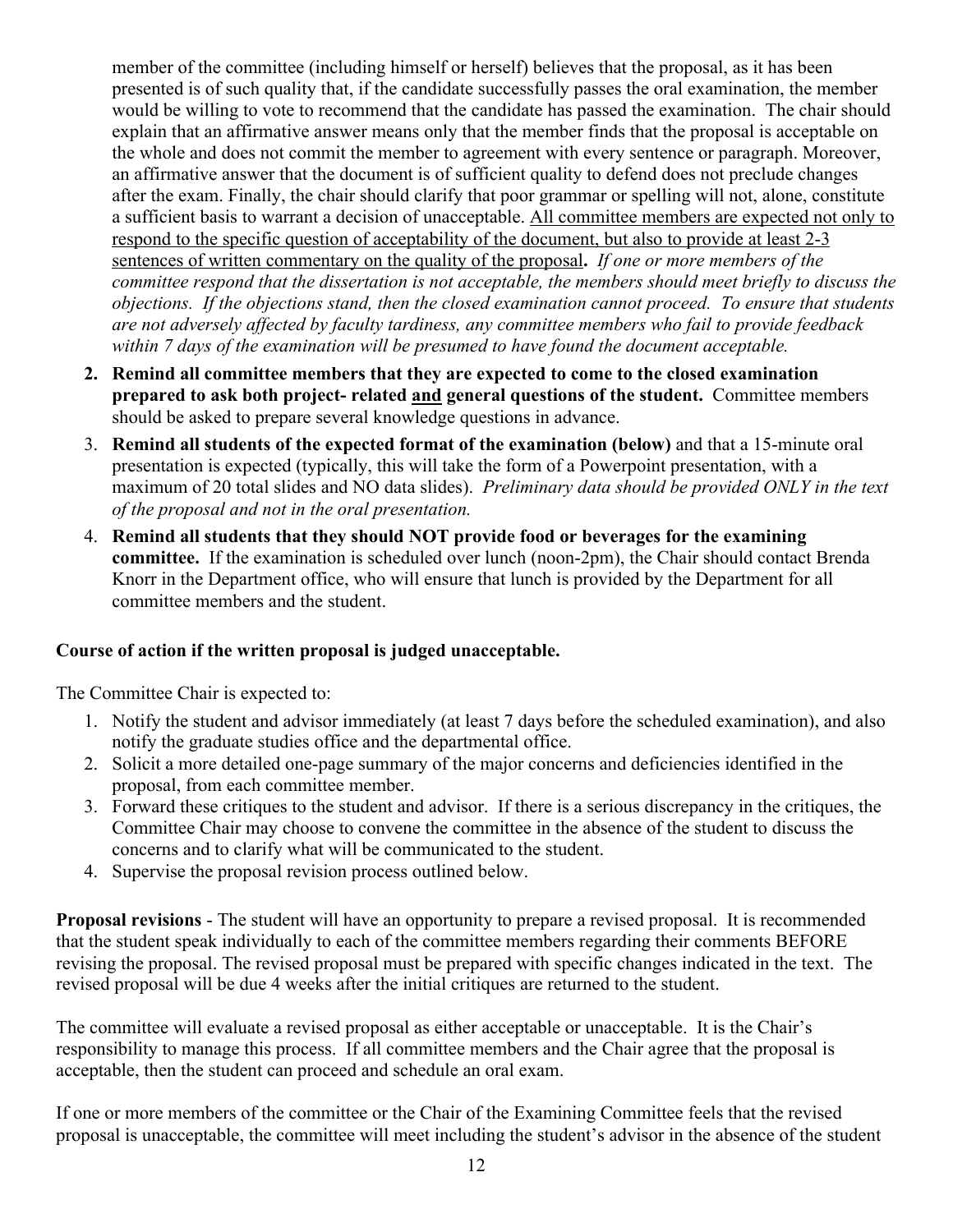member of the committee (including himself or herself) believes that the proposal, as it has been presented is of such quality that, if the candidate successfully passes the oral examination, the member would be willing to vote to recommend that the candidate has passed the examination. The chair should explain that an affirmative answer means only that the member finds that the proposal is acceptable on the whole and does not commit the member to agreement with every sentence or paragraph. Moreover, an affirmative answer that the document is of sufficient quality to defend does not preclude changes after the exam. Finally, the chair should clarify that poor grammar or spelling will not, alone, constitute a sufficient basis to warrant a decision of unacceptable. All committee members are expected not only to respond to the specific question of acceptability of the document, but also to provide at least 2-3 sentences of written commentary on the quality of the proposal**.** *If one or more members of the committee respond that the dissertation is not acceptable, the members should meet briefly to discuss the objections. If the objections stand, then the closed examination cannot proceed. To ensure that students are not adversely affected by faculty tardiness, any committee members who fail to provide feedback within 7 days of the examination will be presumed to have found the document acceptable.* 

- **2. Remind all committee members that they are expected to come to the closed examination prepared to ask both project- related and general questions of the student.** Committee members should be asked to prepare several knowledge questions in advance.
- 3. **Remind all students of the expected format of the examination (below)** and that a 15-minute oral presentation is expected (typically, this will take the form of a Powerpoint presentation, with a maximum of 20 total slides and NO data slides). *Preliminary data should be provided ONLY in the text of the proposal and not in the oral presentation.*
- 4. **Remind all students that they should NOT provide food or beverages for the examining committee.** If the examination is scheduled over lunch (noon-2pm), the Chair should contact Brenda Knorr in the Department office, who will ensure that lunch is provided by the Department for all committee members and the student.

# **Course of action if the written proposal is judged unacceptable.**

The Committee Chair is expected to:

- 1. Notify the student and advisor immediately (at least 7 days before the scheduled examination), and also notify the graduate studies office and the departmental office.
- 2. Solicit a more detailed one-page summary of the major concerns and deficiencies identified in the proposal, from each committee member.
- 3. Forward these critiques to the student and advisor. If there is a serious discrepancy in the critiques, the Committee Chair may choose to convene the committee in the absence of the student to discuss the concerns and to clarify what will be communicated to the student.
- 4. Supervise the proposal revision process outlined below.

**Proposal revisions** - The student will have an opportunity to prepare a revised proposal. It is recommended that the student speak individually to each of the committee members regarding their comments BEFORE revising the proposal. The revised proposal must be prepared with specific changes indicated in the text. The revised proposal will be due 4 weeks after the initial critiques are returned to the student.

The committee will evaluate a revised proposal as either acceptable or unacceptable. It is the Chair's responsibility to manage this process. If all committee members and the Chair agree that the proposal is acceptable, then the student can proceed and schedule an oral exam.

If one or more members of the committee or the Chair of the Examining Committee feels that the revised proposal is unacceptable, the committee will meet including the student's advisor in the absence of the student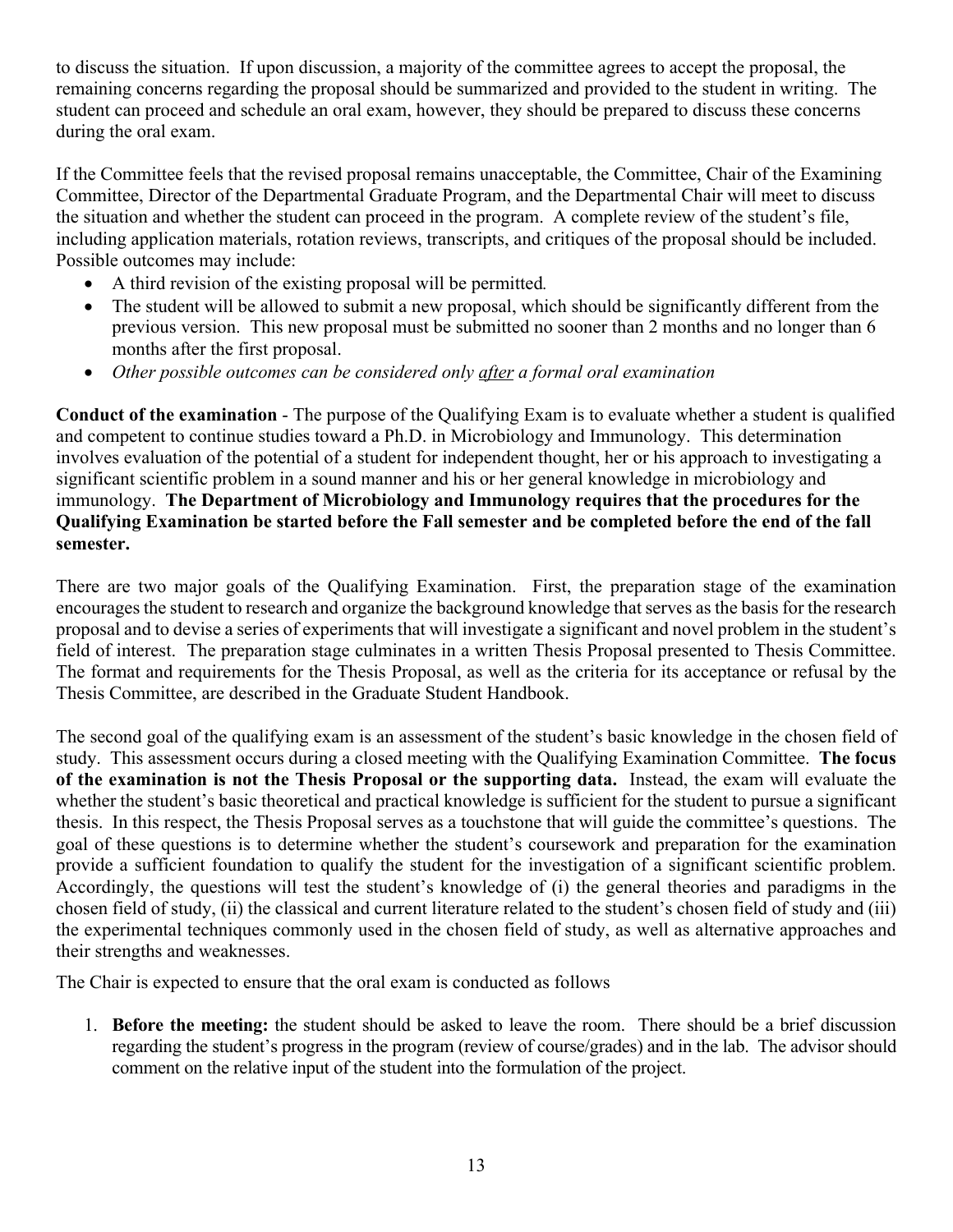to discuss the situation. If upon discussion, a majority of the committee agrees to accept the proposal, the remaining concerns regarding the proposal should be summarized and provided to the student in writing. The student can proceed and schedule an oral exam, however, they should be prepared to discuss these concerns during the oral exam.

If the Committee feels that the revised proposal remains unacceptable, the Committee, Chair of the Examining Committee, Director of the Departmental Graduate Program, and the Departmental Chair will meet to discuss the situation and whether the student can proceed in the program. A complete review of the student's file, including application materials, rotation reviews, transcripts, and critiques of the proposal should be included. Possible outcomes may include:

- A third revision of the existing proposal will be permitted*.*
- The student will be allowed to submit a new proposal, which should be significantly different from the previous version. This new proposal must be submitted no sooner than 2 months and no longer than 6 months after the first proposal.
- *Other possible outcomes can be considered only after a formal oral examination*

**Conduct of the examination** - The purpose of the Qualifying Exam is to evaluate whether a student is qualified and competent to continue studies toward a Ph.D. in Microbiology and Immunology. This determination involves evaluation of the potential of a student for independent thought, her or his approach to investigating a significant scientific problem in a sound manner and his or her general knowledge in microbiology and immunology. **The Department of Microbiology and Immunology requires that the procedures for the Qualifying Examination be started before the Fall semester and be completed before the end of the fall semester.**

There are two major goals of the Qualifying Examination. First, the preparation stage of the examination encourages the student to research and organize the background knowledge that serves as the basis for the research proposal and to devise a series of experiments that will investigate a significant and novel problem in the student's field of interest. The preparation stage culminates in a written Thesis Proposal presented to Thesis Committee. The format and requirements for the Thesis Proposal, as well as the criteria for its acceptance or refusal by the Thesis Committee, are described in the Graduate Student Handbook.

The second goal of the qualifying exam is an assessment of the student's basic knowledge in the chosen field of study. This assessment occurs during a closed meeting with the Qualifying Examination Committee. **The focus of the examination is not the Thesis Proposal or the supporting data.** Instead, the exam will evaluate the whether the student's basic theoretical and practical knowledge is sufficient for the student to pursue a significant thesis. In this respect, the Thesis Proposal serves as a touchstone that will guide the committee's questions. The goal of these questions is to determine whether the student's coursework and preparation for the examination provide a sufficient foundation to qualify the student for the investigation of a significant scientific problem. Accordingly, the questions will test the student's knowledge of (i) the general theories and paradigms in the chosen field of study, (ii) the classical and current literature related to the student's chosen field of study and (iii) the experimental techniques commonly used in the chosen field of study, as well as alternative approaches and their strengths and weaknesses.

The Chair is expected to ensure that the oral exam is conducted as follows

1. **Before the meeting:** the student should be asked to leave the room. There should be a brief discussion regarding the student's progress in the program (review of course/grades) and in the lab. The advisor should comment on the relative input of the student into the formulation of the project.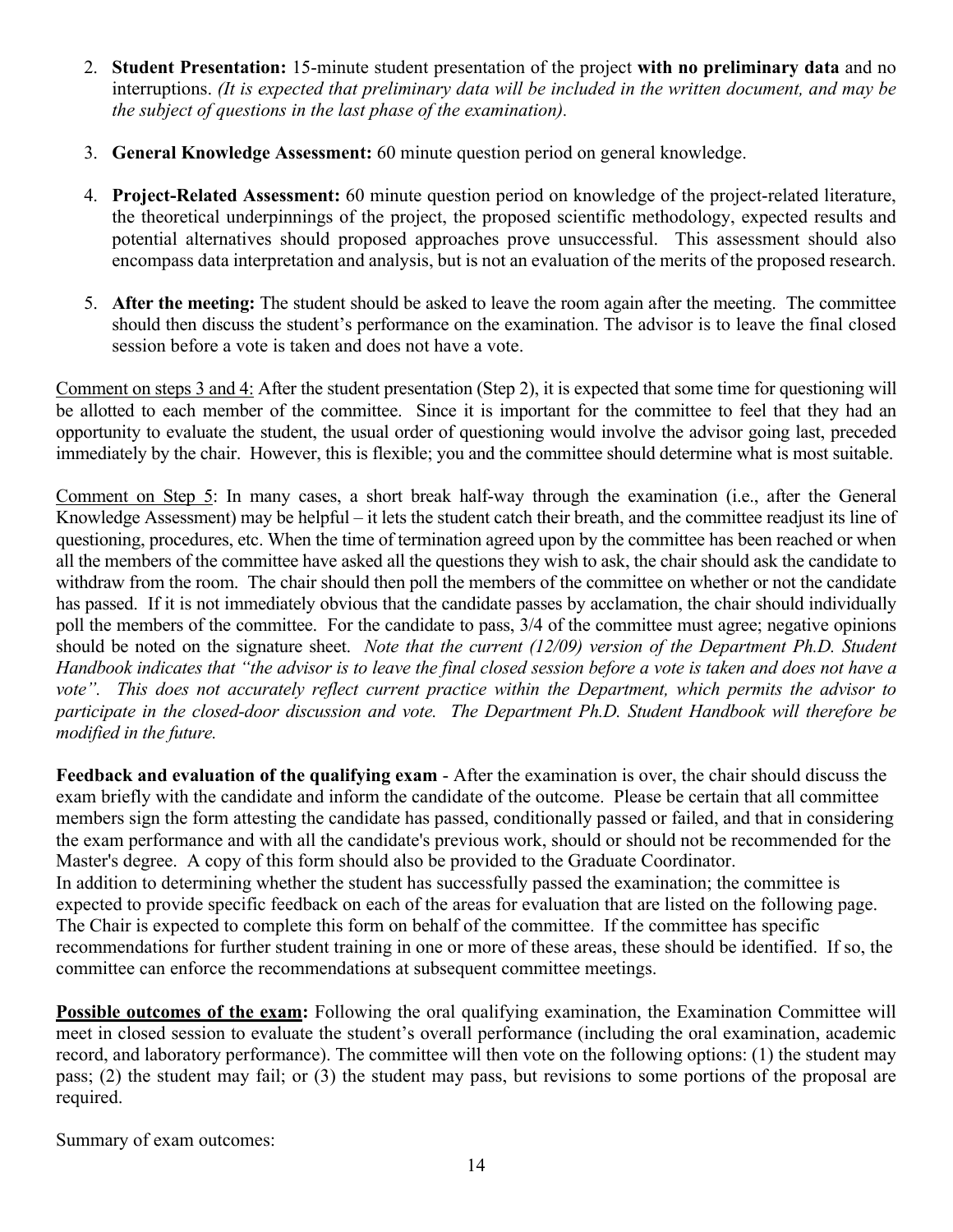- 2. **Student Presentation:** 15-minute student presentation of the project **with no preliminary data** and no interruptions. *(It is expected that preliminary data will be included in the written document, and may be the subject of questions in the last phase of the examination).*
- 3. **General Knowledge Assessment:** 60 minute question period on general knowledge.
- 4. **Project-Related Assessment:** 60 minute question period on knowledge of the project-related literature, the theoretical underpinnings of the project, the proposed scientific methodology, expected results and potential alternatives should proposed approaches prove unsuccessful. This assessment should also encompass data interpretation and analysis, but is not an evaluation of the merits of the proposed research.
- 5. **After the meeting:** The student should be asked to leave the room again after the meeting. The committee should then discuss the student's performance on the examination. The advisor is to leave the final closed session before a vote is taken and does not have a vote.

Comment on steps 3 and 4: After the student presentation (Step 2), it is expected that some time for questioning will be allotted to each member of the committee. Since it is important for the committee to feel that they had an opportunity to evaluate the student, the usual order of questioning would involve the advisor going last, preceded immediately by the chair. However, this is flexible; you and the committee should determine what is most suitable.

Comment on Step 5: In many cases, a short break half-way through the examination (i.e., after the General Knowledge Assessment) may be helpful – it lets the student catch their breath, and the committee readjust its line of questioning, procedures, etc. When the time of termination agreed upon by the committee has been reached or when all the members of the committee have asked all the questions they wish to ask, the chair should ask the candidate to withdraw from the room. The chair should then poll the members of the committee on whether or not the candidate has passed. If it is not immediately obvious that the candidate passes by acclamation, the chair should individually poll the members of the committee. For the candidate to pass, 3/4 of the committee must agree; negative opinions should be noted on the signature sheet. *Note that the current (12/09) version of the Department Ph.D. Student Handbook indicates that "the advisor is to leave the final closed session before a vote is taken and does not have a vote". This does not accurately reflect current practice within the Department, which permits the advisor to participate in the closed-door discussion and vote. The Department Ph.D. Student Handbook will therefore be modified in the future.*

**Feedback and evaluation of the qualifying exam -** After the examination is over, the chair should discuss the exam briefly with the candidate and inform the candidate of the outcome. Please be certain that all committee members sign the form attesting the candidate has passed, conditionally passed or failed, and that in considering the exam performance and with all the candidate's previous work, should or should not be recommended for the Master's degree. A copy of this form should also be provided to the Graduate Coordinator. In addition to determining whether the student has successfully passed the examination; the committee is expected to provide specific feedback on each of the areas for evaluation that are listed on the following page. The Chair is expected to complete this form on behalf of the committee. If the committee has specific recommendations for further student training in one or more of these areas, these should be identified. If so, the committee can enforce the recommendations at subsequent committee meetings.

**Possible outcomes of the exam:** Following the oral qualifying examination, the Examination Committee will meet in closed session to evaluate the student's overall performance (including the oral examination, academic record, and laboratory performance). The committee will then vote on the following options: (1) the student may pass; (2) the student may fail; or (3) the student may pass, but revisions to some portions of the proposal are required.

Summary of exam outcomes: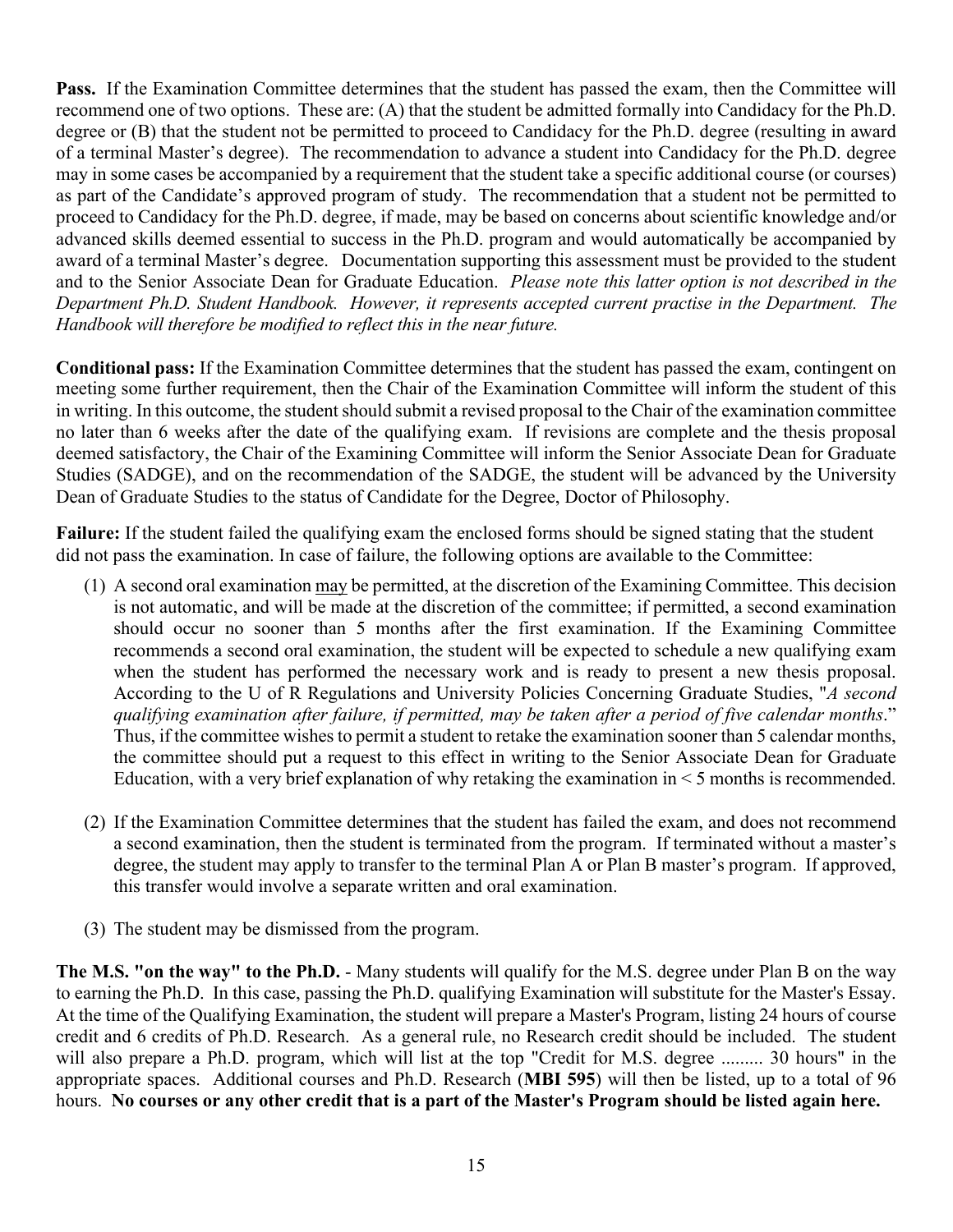**Pass.** If the Examination Committee determines that the student has passed the exam, then the Committee will recommend one of two options. These are: (A) that the student be admitted formally into Candidacy for the Ph.D. degree or (B) that the student not be permitted to proceed to Candidacy for the Ph.D. degree (resulting in award of a terminal Master's degree). The recommendation to advance a student into Candidacy for the Ph.D. degree may in some cases be accompanied by a requirement that the student take a specific additional course (or courses) as part of the Candidate's approved program of study. The recommendation that a student not be permitted to proceed to Candidacy for the Ph.D. degree, if made, may be based on concerns about scientific knowledge and/or advanced skills deemed essential to success in the Ph.D. program and would automatically be accompanied by award of a terminal Master's degree. Documentation supporting this assessment must be provided to the student and to the Senior Associate Dean for Graduate Education. *Please note this latter option is not described in the Department Ph.D. Student Handbook. However, it represents accepted current practise in the Department. The Handbook will therefore be modified to reflect this in the near future.*

**Conditional pass:** If the Examination Committee determines that the student has passed the exam, contingent on meeting some further requirement, then the Chair of the Examination Committee will inform the student of this in writing. In this outcome, the student should submit a revised proposal to the Chair of the examination committee no later than 6 weeks after the date of the qualifying exam. If revisions are complete and the thesis proposal deemed satisfactory, the Chair of the Examining Committee will inform the Senior Associate Dean for Graduate Studies (SADGE), and on the recommendation of the SADGE, the student will be advanced by the University Dean of Graduate Studies to the status of Candidate for the Degree, Doctor of Philosophy.

**Failure:** If the student failed the qualifying exam the enclosed forms should be signed stating that the student did not pass the examination. In case of failure, the following options are available to the Committee:

- (1) A second oral examination may be permitted, at the discretion of the Examining Committee. This decision is not automatic, and will be made at the discretion of the committee; if permitted, a second examination should occur no sooner than 5 months after the first examination. If the Examining Committee recommends a second oral examination, the student will be expected to schedule a new qualifying exam when the student has performed the necessary work and is ready to present a new thesis proposal. According to the U of R Regulations and University Policies Concerning Graduate Studies, "*A second qualifying examination after failure, if permitted, may be taken after a period of five calendar months*." Thus, if the committee wishes to permit a student to retake the examination sooner than 5 calendar months, the committee should put a request to this effect in writing to the Senior Associate Dean for Graduate Education, with a very brief explanation of why retaking the examination in < 5 months is recommended.
- (2) If the Examination Committee determines that the student has failed the exam, and does not recommend a second examination, then the student is terminated from the program. If terminated without a master's degree, the student may apply to transfer to the terminal Plan A or Plan B master's program. If approved, this transfer would involve a separate written and oral examination.
- (3) The student may be dismissed from the program.

**The M.S. "on the way" to the Ph.D.** - Many students will qualify for the M.S. degree under Plan B on the way to earning the Ph.D. In this case, passing the Ph.D. qualifying Examination will substitute for the Master's Essay. At the time of the Qualifying Examination, the student will prepare a Master's Program, listing 24 hours of course credit and 6 credits of Ph.D. Research. As a general rule, no Research credit should be included. The student will also prepare a Ph.D. program, which will list at the top "Credit for M.S. degree ......... 30 hours" in the appropriate spaces. Additional courses and Ph.D. Research (**MBI 595**) will then be listed, up to a total of 96 hours. **No courses or any other credit that is a part of the Master's Program should be listed again here.**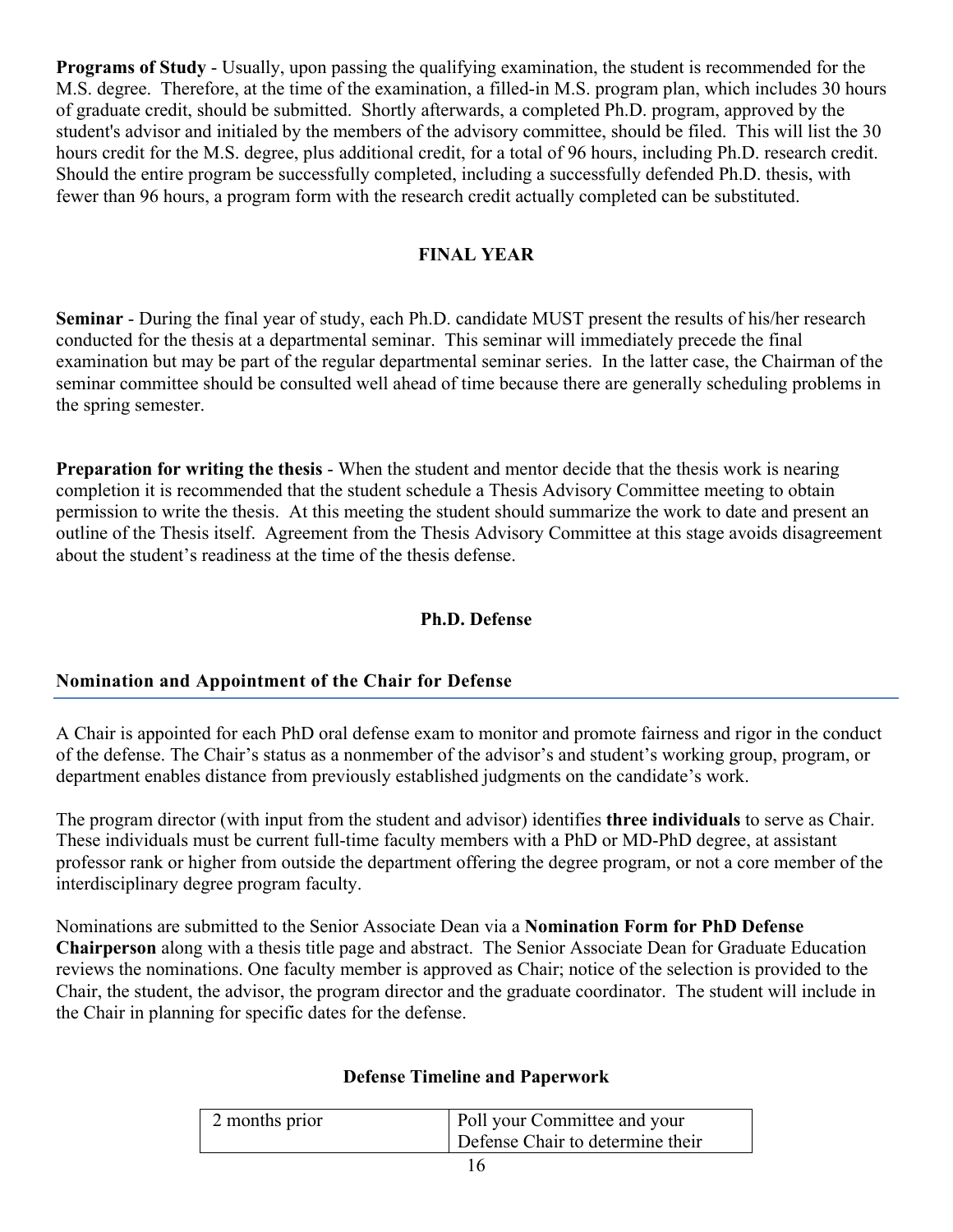**Programs of Study** - Usually, upon passing the qualifying examination, the student is recommended for the M.S. degree. Therefore, at the time of the examination, a filled-in M.S. program plan, which includes 30 hours of graduate credit, should be submitted. Shortly afterwards, a completed Ph.D. program, approved by the student's advisor and initialed by the members of the advisory committee, should be filed. This will list the 30 hours credit for the M.S. degree, plus additional credit, for a total of 96 hours, including Ph.D. research credit. Should the entire program be successfully completed, including a successfully defended Ph.D. thesis, with fewer than 96 hours, a program form with the research credit actually completed can be substituted.

# **FINAL YEAR**

**Seminar** - During the final year of study, each Ph.D. candidate MUST present the results of his/her research conducted for the thesis at a departmental seminar. This seminar will immediately precede the final examination but may be part of the regular departmental seminar series. In the latter case, the Chairman of the seminar committee should be consulted well ahead of time because there are generally scheduling problems in the spring semester.

**Preparation for writing the thesis** - When the student and mentor decide that the thesis work is nearing completion it is recommended that the student schedule a Thesis Advisory Committee meeting to obtain permission to write the thesis. At this meeting the student should summarize the work to date and present an outline of the Thesis itself. Agreement from the Thesis Advisory Committee at this stage avoids disagreement about the student's readiness at the time of the thesis defense.

# **Ph.D. Defense**

# **Nomination and Appointment of the Chair for Defense**

A Chair is appointed for each PhD oral defense exam to monitor and promote fairness and rigor in the conduct of the defense. The Chair's status as a nonmember of the advisor's and student's working group, program, or department enables distance from previously established judgments on the candidate's work.

The program director (with input from the student and advisor) identifies **three individuals** to serve as Chair. These individuals must be current full-time faculty members with a PhD or MD-PhD degree, at assistant professor rank or higher from outside the department offering the degree program, or not a core member of the interdisciplinary degree program faculty.

Nominations are submitted to the Senior Associate Dean via a **Nomination Form for PhD Defense Chairperson** along with a thesis title page and abstract. The Senior Associate Dean for Graduate Education reviews the nominations. One faculty member is approved as Chair; notice of the selection is provided to the Chair, the student, the advisor, the program director and the graduate coordinator. The student will include in the Chair in planning for specific dates for the defense.

| Poll your Committee and your<br>2 months prior<br>Defense Chair to determine their |  |
|------------------------------------------------------------------------------------|--|
|------------------------------------------------------------------------------------|--|

# **Defense Timeline and Paperwork**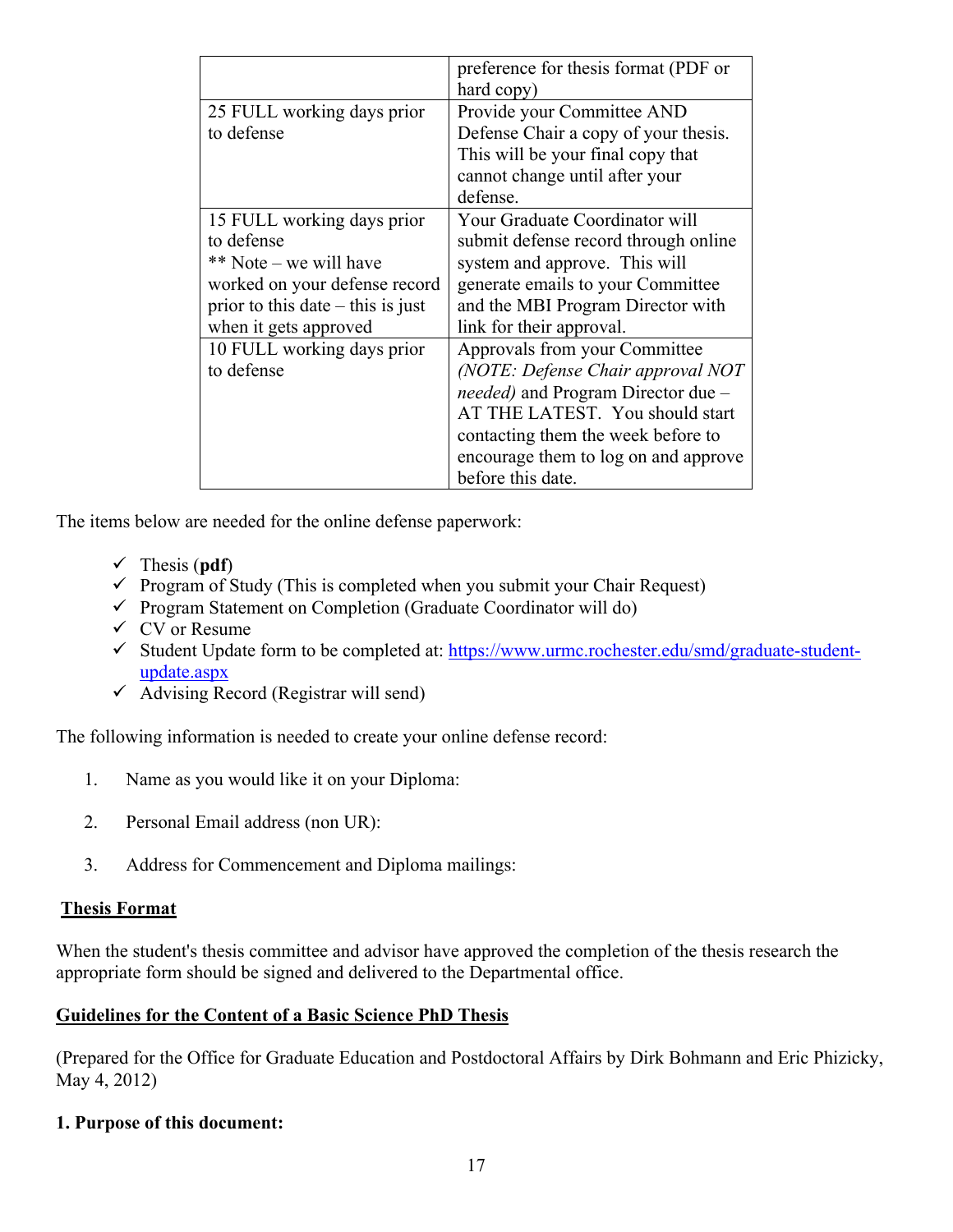|                                     | preference for thesis format (PDF or |
|-------------------------------------|--------------------------------------|
|                                     | hard copy)                           |
| 25 FULL working days prior          | Provide your Committee AND           |
| to defense                          | Defense Chair a copy of your thesis. |
|                                     | This will be your final copy that    |
|                                     | cannot change until after your       |
|                                     | defense.                             |
| 15 FULL working days prior          | Your Graduate Coordinator will       |
| to defense                          | submit defense record through online |
| ** Note – we will have              | system and approve. This will        |
| worked on your defense record       | generate emails to your Committee    |
| prior to this date $-$ this is just | and the MBI Program Director with    |
| when it gets approved               | link for their approval.             |
| 10 FULL working days prior          | Approvals from your Committee        |
| to defense                          | (NOTE: Defense Chair approval NOT    |
|                                     | needed) and Program Director due -   |
|                                     | AT THE LATEST. You should start      |
|                                     | contacting them the week before to   |
|                                     | encourage them to log on and approve |
|                                     | before this date.                    |

The items below are needed for the online defense paperwork:

- $\checkmark$  Thesis (**pdf**)
- $\checkmark$  Program of Study (This is completed when you submit your Chair Request)
- $\checkmark$  Program Statement on Completion (Graduate Coordinator will do)
- $\checkmark$  CV or Resume
- $\checkmark$  Student Update form to be completed at: https://www.urmc.rochester.edu/smd/graduate-studentupdate.aspx
- $\checkmark$  Advising Record (Registrar will send)

The following information is needed to create your online defense record:

- 1. Name as you would like it on your Diploma:
- 2. Personal Email address (non UR):
- 3. Address for Commencement and Diploma mailings:

# **Thesis Format**

When the student's thesis committee and advisor have approved the completion of the thesis research the appropriate form should be signed and delivered to the Departmental office.

# **Guidelines for the Content of a Basic Science PhD Thesis**

(Prepared for the Office for Graduate Education and Postdoctoral Affairs by Dirk Bohmann and Eric Phizicky, May 4, 2012)

# **1. Purpose of this document:**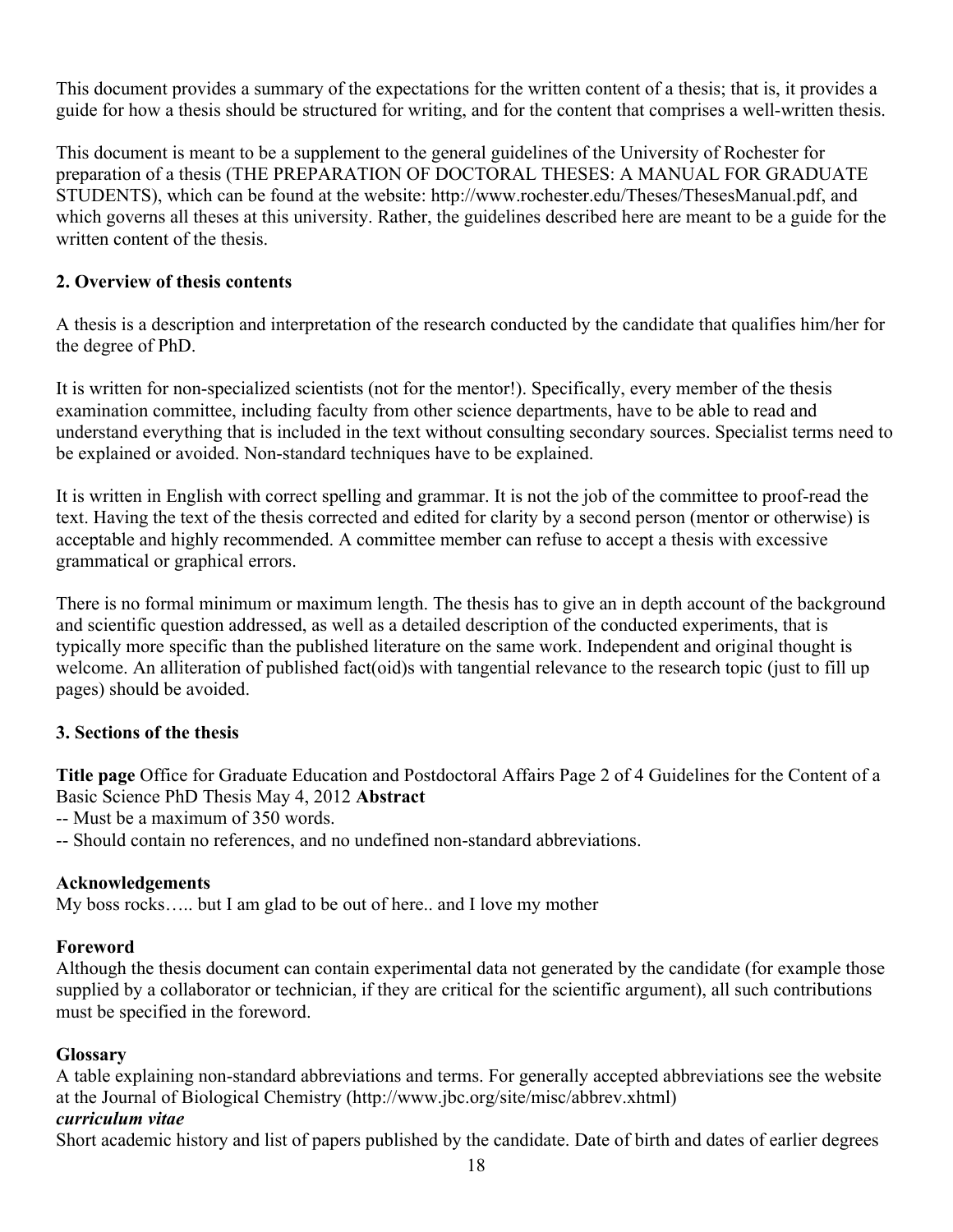This document provides a summary of the expectations for the written content of a thesis; that is, it provides a guide for how a thesis should be structured for writing, and for the content that comprises a well-written thesis.

This document is meant to be a supplement to the general guidelines of the University of Rochester for preparation of a thesis (THE PREPARATION OF DOCTORAL THESES: A MANUAL FOR GRADUATE STUDENTS), which can be found at the website: http://www.rochester.edu/Theses/ThesesManual.pdf, and which governs all theses at this university. Rather, the guidelines described here are meant to be a guide for the written content of the thesis.

# **2. Overview of thesis contents**

A thesis is a description and interpretation of the research conducted by the candidate that qualifies him/her for the degree of PhD.

It is written for non-specialized scientists (not for the mentor!). Specifically, every member of the thesis examination committee, including faculty from other science departments, have to be able to read and understand everything that is included in the text without consulting secondary sources. Specialist terms need to be explained or avoided. Non-standard techniques have to be explained.

It is written in English with correct spelling and grammar. It is not the job of the committee to proof-read the text. Having the text of the thesis corrected and edited for clarity by a second person (mentor or otherwise) is acceptable and highly recommended. A committee member can refuse to accept a thesis with excessive grammatical or graphical errors.

There is no formal minimum or maximum length. The thesis has to give an in depth account of the background and scientific question addressed, as well as a detailed description of the conducted experiments, that is typically more specific than the published literature on the same work. Independent and original thought is welcome. An alliteration of published fact(oid)s with tangential relevance to the research topic (just to fill up pages) should be avoided.

# **3. Sections of the thesis**

**Title page** Office for Graduate Education and Postdoctoral Affairs Page 2 of 4 Guidelines for the Content of a Basic Science PhD Thesis May 4, 2012 **Abstract** 

-- Must be a maximum of 350 words.

-- Should contain no references, and no undefined non-standard abbreviations.

# **Acknowledgements**

My boss rocks….. but I am glad to be out of here.. and I love my mother

# **Foreword**

Although the thesis document can contain experimental data not generated by the candidate (for example those supplied by a collaborator or technician, if they are critical for the scientific argument), all such contributions must be specified in the foreword.

# **Glossary**

A table explaining non-standard abbreviations and terms. For generally accepted abbreviations see the website at the Journal of Biological Chemistry (http://www.jbc.org/site/misc/abbrev.xhtml)

# *curriculum vitae*

Short academic history and list of papers published by the candidate. Date of birth and dates of earlier degrees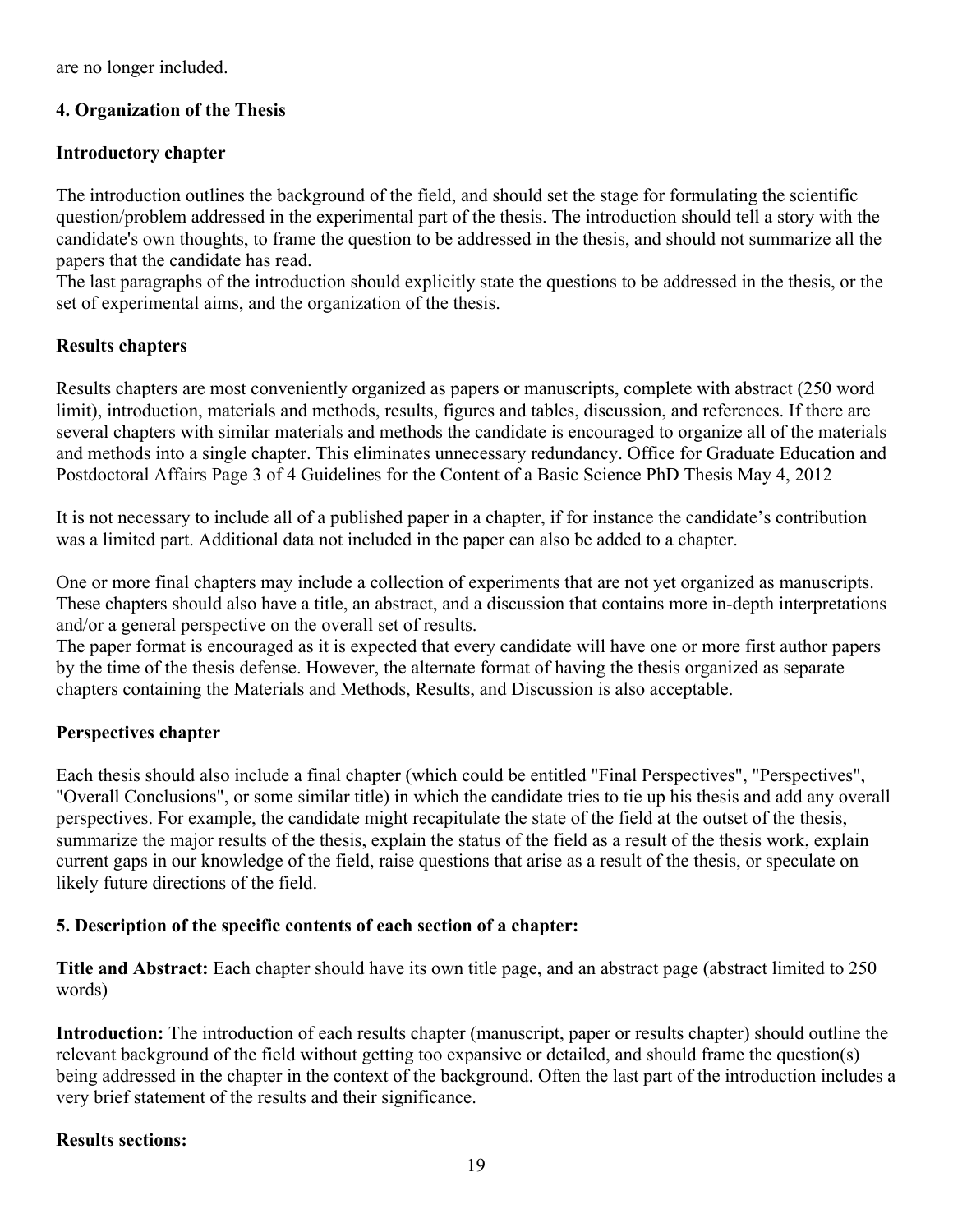are no longer included.

# **4. Organization of the Thesis**

#### **Introductory chapter**

The introduction outlines the background of the field, and should set the stage for formulating the scientific question/problem addressed in the experimental part of the thesis. The introduction should tell a story with the candidate's own thoughts, to frame the question to be addressed in the thesis, and should not summarize all the papers that the candidate has read.

The last paragraphs of the introduction should explicitly state the questions to be addressed in the thesis, or the set of experimental aims, and the organization of the thesis.

# **Results chapters**

Results chapters are most conveniently organized as papers or manuscripts, complete with abstract (250 word limit), introduction, materials and methods, results, figures and tables, discussion, and references. If there are several chapters with similar materials and methods the candidate is encouraged to organize all of the materials and methods into a single chapter. This eliminates unnecessary redundancy. Office for Graduate Education and Postdoctoral Affairs Page 3 of 4 Guidelines for the Content of a Basic Science PhD Thesis May 4, 2012

It is not necessary to include all of a published paper in a chapter, if for instance the candidate's contribution was a limited part. Additional data not included in the paper can also be added to a chapter.

One or more final chapters may include a collection of experiments that are not yet organized as manuscripts. These chapters should also have a title, an abstract, and a discussion that contains more in-depth interpretations and/or a general perspective on the overall set of results.

The paper format is encouraged as it is expected that every candidate will have one or more first author papers by the time of the thesis defense. However, the alternate format of having the thesis organized as separate chapters containing the Materials and Methods, Results, and Discussion is also acceptable.

# **Perspectives chapter**

Each thesis should also include a final chapter (which could be entitled "Final Perspectives", "Perspectives", "Overall Conclusions", or some similar title) in which the candidate tries to tie up his thesis and add any overall perspectives. For example, the candidate might recapitulate the state of the field at the outset of the thesis, summarize the major results of the thesis, explain the status of the field as a result of the thesis work, explain current gaps in our knowledge of the field, raise questions that arise as a result of the thesis, or speculate on likely future directions of the field.

# **5. Description of the specific contents of each section of a chapter:**

**Title and Abstract:** Each chapter should have its own title page, and an abstract page (abstract limited to 250 words)

**Introduction:** The introduction of each results chapter (manuscript, paper or results chapter) should outline the relevant background of the field without getting too expansive or detailed, and should frame the question(s) being addressed in the chapter in the context of the background. Often the last part of the introduction includes a very brief statement of the results and their significance.

# **Results sections:**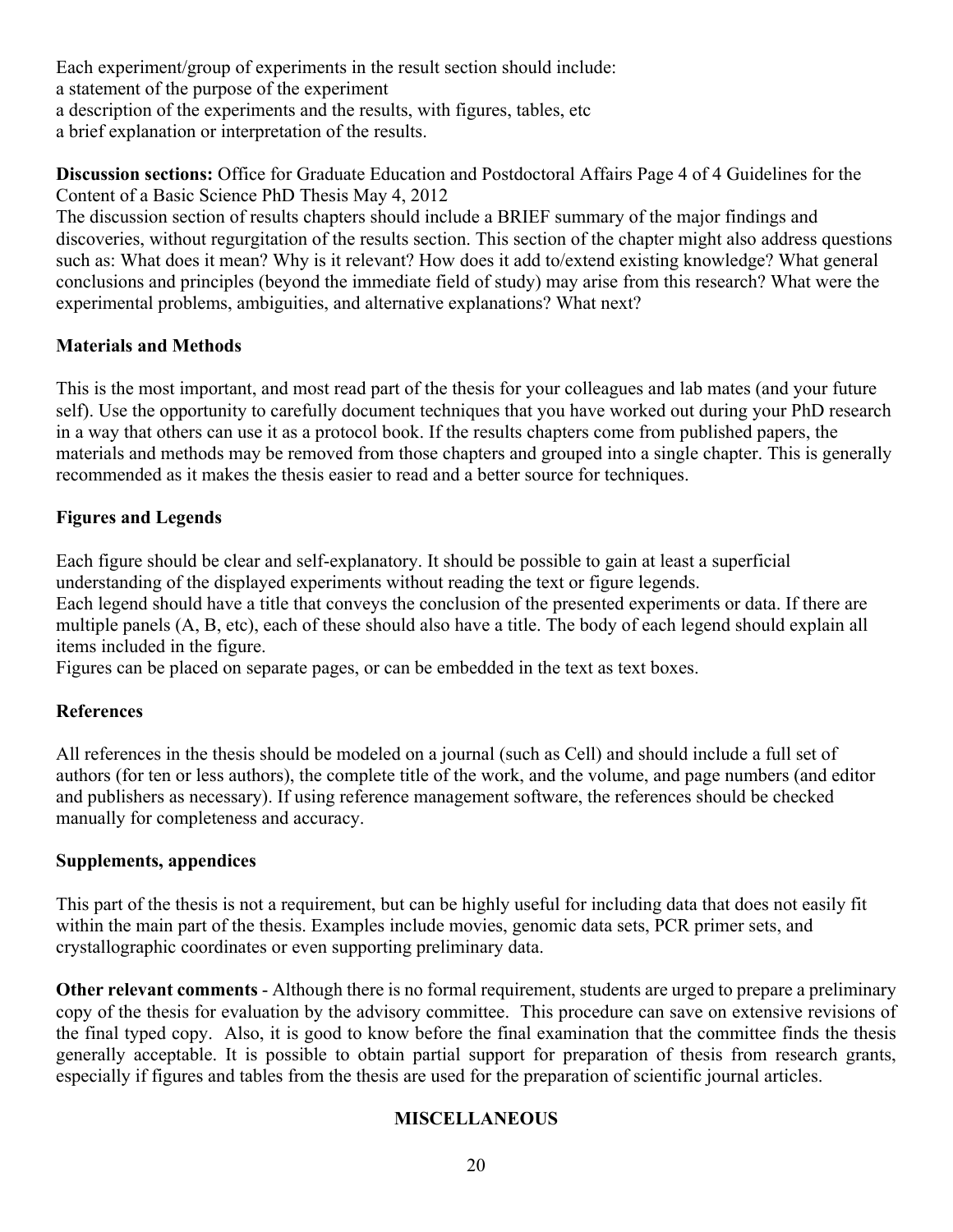Each experiment/group of experiments in the result section should include: a statement of the purpose of the experiment a description of the experiments and the results, with figures, tables, etc a brief explanation or interpretation of the results.

**Discussion sections:** Office for Graduate Education and Postdoctoral Affairs Page 4 of 4 Guidelines for the Content of a Basic Science PhD Thesis May 4, 2012

The discussion section of results chapters should include a BRIEF summary of the major findings and discoveries, without regurgitation of the results section. This section of the chapter might also address questions such as: What does it mean? Why is it relevant? How does it add to/extend existing knowledge? What general conclusions and principles (beyond the immediate field of study) may arise from this research? What were the experimental problems, ambiguities, and alternative explanations? What next?

# **Materials and Methods**

This is the most important, and most read part of the thesis for your colleagues and lab mates (and your future self). Use the opportunity to carefully document techniques that you have worked out during your PhD research in a way that others can use it as a protocol book. If the results chapters come from published papers, the materials and methods may be removed from those chapters and grouped into a single chapter. This is generally recommended as it makes the thesis easier to read and a better source for techniques.

# **Figures and Legends**

Each figure should be clear and self-explanatory. It should be possible to gain at least a superficial understanding of the displayed experiments without reading the text or figure legends.

Each legend should have a title that conveys the conclusion of the presented experiments or data. If there are multiple panels (A, B, etc), each of these should also have a title. The body of each legend should explain all items included in the figure.

Figures can be placed on separate pages, or can be embedded in the text as text boxes.

# **References**

All references in the thesis should be modeled on a journal (such as Cell) and should include a full set of authors (for ten or less authors), the complete title of the work, and the volume, and page numbers (and editor and publishers as necessary). If using reference management software, the references should be checked manually for completeness and accuracy.

# **Supplements, appendices**

This part of the thesis is not a requirement, but can be highly useful for including data that does not easily fit within the main part of the thesis. Examples include movies, genomic data sets, PCR primer sets, and crystallographic coordinates or even supporting preliminary data.

**Other relevant comments** - Although there is no formal requirement, students are urged to prepare a preliminary copy of the thesis for evaluation by the advisory committee. This procedure can save on extensive revisions of the final typed copy. Also, it is good to know before the final examination that the committee finds the thesis generally acceptable. It is possible to obtain partial support for preparation of thesis from research grants, especially if figures and tables from the thesis are used for the preparation of scientific journal articles.

# **MISCELLANEOUS**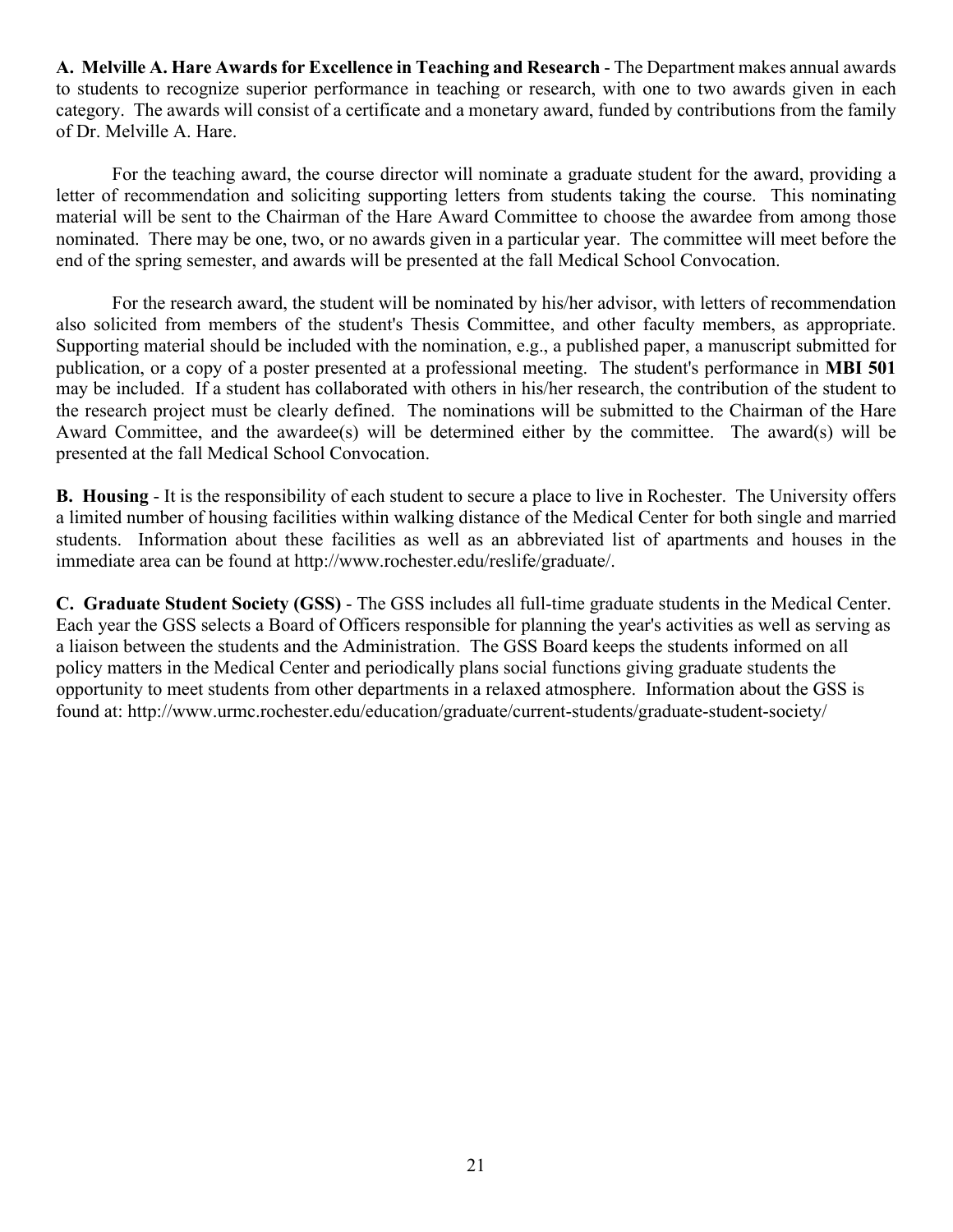**A. Melville A. Hare Awards for Excellence in Teaching and Research** - The Department makes annual awards to students to recognize superior performance in teaching or research, with one to two awards given in each category. The awards will consist of a certificate and a monetary award, funded by contributions from the family of Dr. Melville A. Hare.

For the teaching award, the course director will nominate a graduate student for the award, providing a letter of recommendation and soliciting supporting letters from students taking the course. This nominating material will be sent to the Chairman of the Hare Award Committee to choose the awardee from among those nominated. There may be one, two, or no awards given in a particular year. The committee will meet before the end of the spring semester, and awards will be presented at the fall Medical School Convocation.

For the research award, the student will be nominated by his/her advisor, with letters of recommendation also solicited from members of the student's Thesis Committee, and other faculty members, as appropriate. Supporting material should be included with the nomination, e.g., a published paper, a manuscript submitted for publication, or a copy of a poster presented at a professional meeting. The student's performance in **MBI 501**  may be included. If a student has collaborated with others in his/her research, the contribution of the student to the research project must be clearly defined. The nominations will be submitted to the Chairman of the Hare Award Committee, and the awardee(s) will be determined either by the committee. The award(s) will be presented at the fall Medical School Convocation.

**B. Housing** - It is the responsibility of each student to secure a place to live in Rochester. The University offers a limited number of housing facilities within walking distance of the Medical Center for both single and married students. Information about these facilities as well as an abbreviated list of apartments and houses in the immediate area can be found at http://www.rochester.edu/reslife/graduate/.

**C. Graduate Student Society (GSS)** - The GSS includes all full-time graduate students in the Medical Center. Each year the GSS selects a Board of Officers responsible for planning the year's activities as well as serving as a liaison between the students and the Administration. The GSS Board keeps the students informed on all policy matters in the Medical Center and periodically plans social functions giving graduate students the opportunity to meet students from other departments in a relaxed atmosphere. Information about the GSS is found at: http://www.urmc.rochester.edu/education/graduate/current-students/graduate-student-society/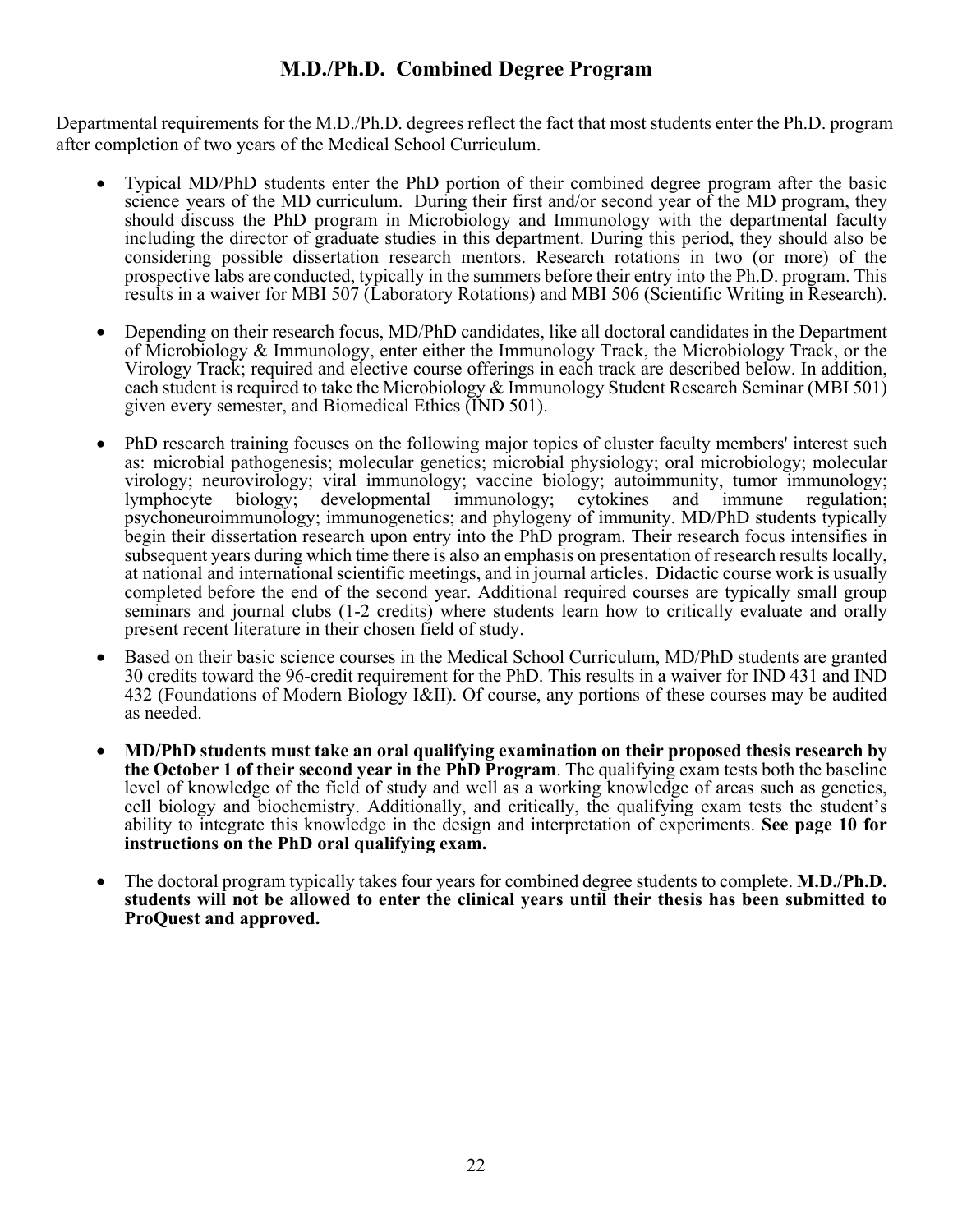# **M.D./Ph.D. Combined Degree Program**

Departmental requirements for the M.D./Ph.D. degrees reflect the fact that most students enter the Ph.D. program after completion of two years of the Medical School Curriculum.

- Typical MD/PhD students enter the PhD portion of their combined degree program after the basic science years of the MD curriculum. During their first and/or second year of the MD program, they should discuss the PhD program in Microbiology and Immunology with the departmental faculty including the director of graduate studies in this department. During this period, they should also be considering possible dissertation research mentors. Research rotations in two (or more) of the prospective labs are conducted, typically in the summers before their entry into the Ph.D. program. This results in a waiver for MBI 507 (Laboratory Rotations) and MBI 506 (Scientific Writing in Research).
- Depending on their research focus, MD/PhD candidates, like all doctoral candidates in the Department of Microbiology & Immunology, enter either the Immunology Track, the Microbiology Track, or the Virology Track; required and elective course offerings in each track are described below. In addition, each student is required to take the Microbiology & Immunology Student Research Seminar (MBI 501) given every semester, and Biomedical Ethics (IND 501).
- PhD research training focuses on the following major topics of cluster faculty members' interest such as: microbial pathogenesis; molecular genetics; microbial physiology; oral microbiology; molecular virology; neurovirology; viral immunology; vaccine biology; autoimmunity, tumor immunology; lymphocyte biology; developmental immunology; cytokines and immune regulation; psychoneuroimmunology; immunogenetics; and phylogeny of immunity. MD/PhD students typically begin their dissertation research upon entry into the PhD program. Their research focus intensifies in subsequent years during which time there is also an emphasis on presentation of research results locally, at national and international scientific meetings, and in journal articles. Didactic course work is usually completed before the end of the second year. Additional required courses are typically small group seminars and journal clubs (1-2 credits) where students learn how to critically evaluate and orally present recent literature in their chosen field of study.
- Based on their basic science courses in the Medical School Curriculum, MD/PhD students are granted 30 credits toward the 96-credit requirement for the PhD. This results in a waiver for IND 431 and IND 432 (Foundations of Modern Biology I&II). Of course, any portions of these courses may be audited as needed.
- **MD/PhD students must take an oral qualifying examination on their proposed thesis research by the October 1 of their second year in the PhD Program**. The qualifying exam tests both the baseline level of knowledge of the field of study and well as a working knowledge of areas such as genetics, cell biology and biochemistry. Additionally, and critically, the qualifying exam tests the student's ability to integrate this knowledge in the design and interpretation of experiments. **See page 10 for instructions on the PhD oral qualifying exam.**
- The doctoral program typically takes four years for combined degree students to complete. **M.D./Ph.D. students will not be allowed to enter the clinical years until their thesis has been submitted to ProQuest and approved.**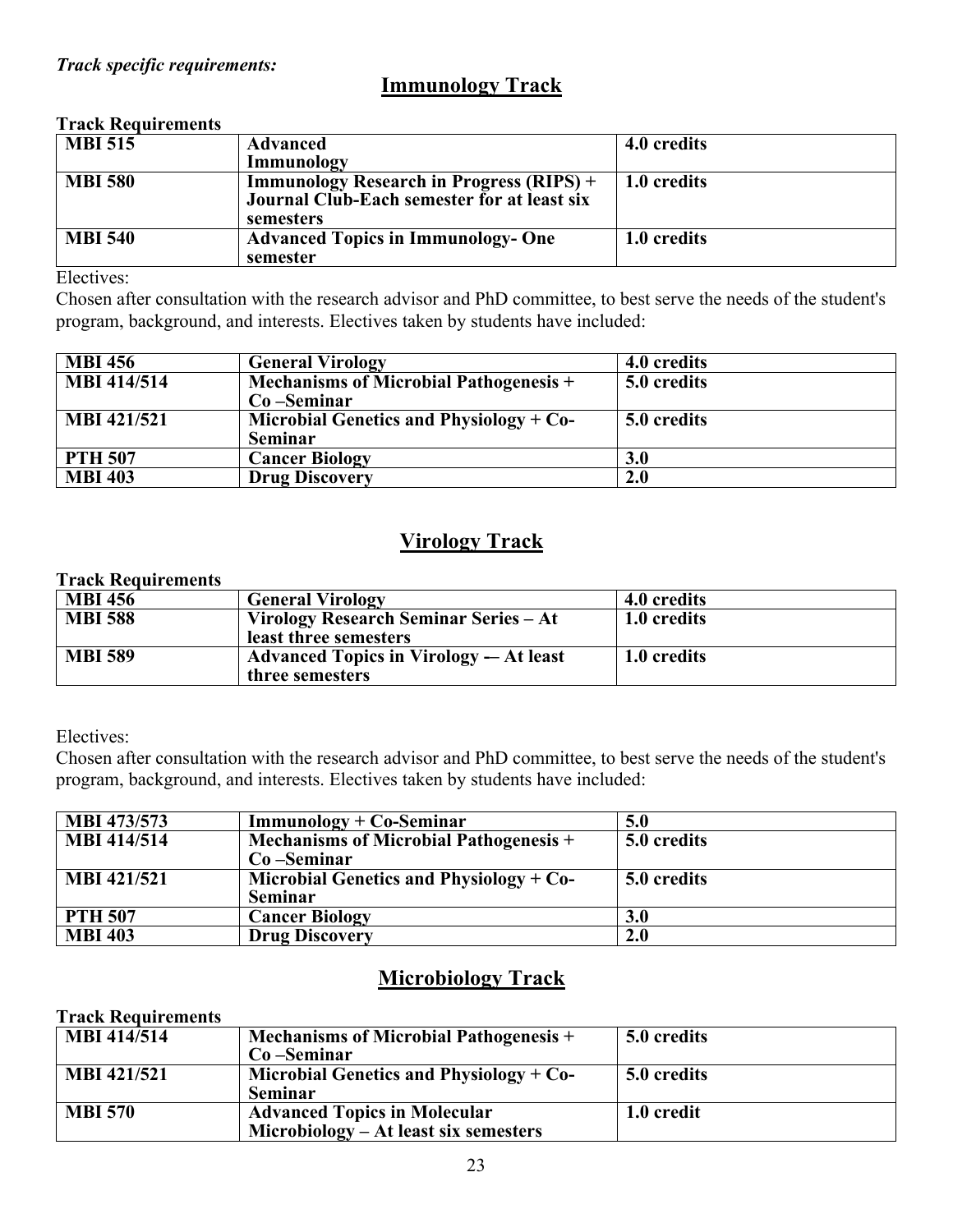# **Immunology Track**

# **Track Requirements**

| <b>MBI 515</b> | <b>Advanced</b>                                                                                             | 4.0 credits |
|----------------|-------------------------------------------------------------------------------------------------------------|-------------|
|                | Immunology                                                                                                  |             |
| <b>MBI 580</b> | <b>Immunology Research in Progress (RIPS)</b> +<br>Journal Club-Each semester for at least six<br>semesters | 1.0 credits |
| <b>MBI 540</b> | <b>Advanced Topics in Immunology- One</b><br>semester                                                       | 1.0 credits |

Electives:

Chosen after consultation with the research advisor and PhD committee, to best serve the needs of the student's program, background, and interests. Electives taken by students have included:

| <b>MBI 456</b>     | <b>General Virology</b>                       | 4.0 credits |
|--------------------|-----------------------------------------------|-------------|
| <b>MBI 414/514</b> | <b>Mechanisms of Microbial Pathogenesis +</b> | 5.0 credits |
|                    | $Co-Seminar$                                  |             |
| <b>MBI 421/521</b> | Microbial Genetics and Physiology + $Co-$     | 5.0 credits |
|                    | <b>Seminar</b>                                |             |
| <b>PTH 507</b>     | <b>Cancer Biology</b>                         | <b>3.0</b>  |
| <b>MBI 403</b>     | <b>Drug Discovery</b>                         | 2.0         |

# **Virology Track**

#### **Track Requirements**

| <b>MBI 456</b> | <b>General Virology</b>                                          | 4.0 credits |
|----------------|------------------------------------------------------------------|-------------|
| <b>MBI 588</b> | Virology Research Seminar Series – At<br>least three semesters   | 1.0 credits |
| <b>MBI 589</b> | <b>Advanced Topics in Virology — At least</b><br>three semesters | 1.0 credits |

# Electives:

Chosen after consultation with the research advisor and PhD committee, to best serve the needs of the student's program, background, and interests. Electives taken by students have included:

| <b>MBI 473/573</b> | $Immunology + Co-Seminar$                     | 5.0         |
|--------------------|-----------------------------------------------|-------------|
| <b>MBI</b> 414/514 | <b>Mechanisms of Microbial Pathogenesis +</b> | 5.0 credits |
|                    | $Co-Seminar$                                  |             |
| <b>MBI 421/521</b> | Microbial Genetics and Physiology $+$ Co-     | 5.0 credits |
|                    | <b>Seminar</b>                                |             |
| <b>PTH 507</b>     | <b>Cancer Biology</b>                         | <b>3.0</b>  |
| <b>MBI 403</b>     | <b>Drug Discovery</b>                         | 2.0         |

# **Microbiology Track**

# **Track Requirements**

| <b>MBI</b> 414/514 | $\mid$ Mechanisms of Microbial Pathogenesis +<br>Co-Seminar                    | 5.0 credits |
|--------------------|--------------------------------------------------------------------------------|-------------|
| <b>MBI 421/521</b> | Microbial Genetics and Physiology $+$ Co-<br><b>Seminar</b>                    | 5.0 credits |
| <b>MBI 570</b>     | <b>Advanced Topics in Molecular</b><br>$Microbiology - At least six semesters$ | 1.0 credit  |